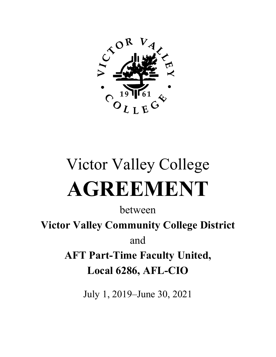

# Victor Valley College **AGREEMENT**

between

**Victor Valley Community College District** 

and

**AFT Part-Time Faculty United, Local 6286, AFL-CIO**

July 1, 2019–June 30, 2021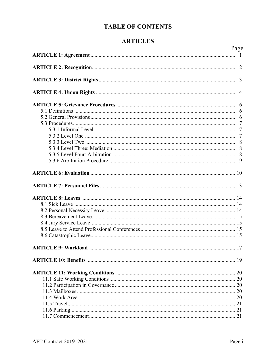#### **TABLE OF CONTENTS**

#### **ARTICLES**

| Page           |  |
|----------------|--|
|                |  |
|                |  |
| $\overline{3}$ |  |
|                |  |
|                |  |
|                |  |
|                |  |
|                |  |
|                |  |
|                |  |
|                |  |
|                |  |
|                |  |
|                |  |
|                |  |
|                |  |
|                |  |
|                |  |
|                |  |
|                |  |
|                |  |
|                |  |
|                |  |
|                |  |
|                |  |
|                |  |
|                |  |
|                |  |
|                |  |
|                |  |
|                |  |
|                |  |
|                |  |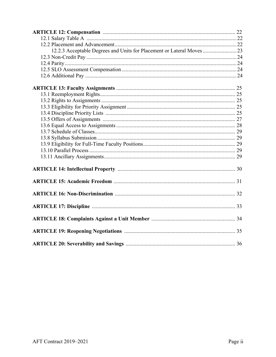| 12.2.3 Acceptable Degrees and Units for Placement or Lateral Moves  23 |  |
|------------------------------------------------------------------------|--|
|                                                                        |  |
|                                                                        |  |
|                                                                        |  |
|                                                                        |  |
|                                                                        |  |
|                                                                        |  |
|                                                                        |  |
|                                                                        |  |
|                                                                        |  |
|                                                                        |  |
|                                                                        |  |
|                                                                        |  |
|                                                                        |  |
|                                                                        |  |
|                                                                        |  |
|                                                                        |  |
|                                                                        |  |
|                                                                        |  |
|                                                                        |  |
|                                                                        |  |
|                                                                        |  |
|                                                                        |  |
|                                                                        |  |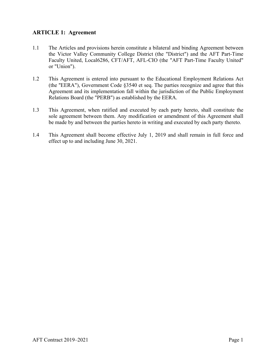#### **ARTICLE 1: Agreement**

- 1.1 The Articles and provisions herein constitute a bilateral and binding Agreement between the Victor Valley Community College District (the "District") and the AFT Part-Time Faculty United, Local6286, CFT/AFT, AFL-CIO (the "AFT Part-Time Faculty United" or "Union").
- 1.2 This Agreement is entered into pursuant to the Educational Employment Relations Act (the ''EERA"), Government Code §3540 et seq. The parties recognize and agree that this Agreement and its implementation fall within the jurisdiction of the Public Employment Relations Board (the "PERB") as established by the EERA.
- 1.3 This Agreement, when ratified and executed by each party hereto, shall constitute the sole agreement between them. Any modification or amendment of this Agreement shall be made by and between the parties hereto in writing and executed by each party thereto.
- 1.4 This Agreement shall become effective July 1, 2019 and shall remain in full force and effect up to and including June 30, 2021.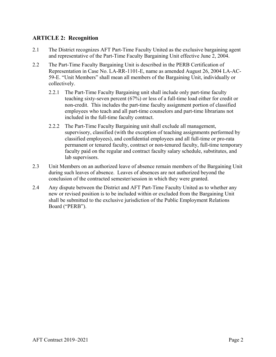#### **ARTICLE 2: Recognition**

- 2.1 The District recognizes AFT Part-Time Faculty United as the exclusive bargaining agent and representative of the Part-Time Faculty Bargaining Unit effective June 2, 2004.
- 2.2 The Part-Time Faculty Bargaining Unit is described in the PERB Certification of Representation in Case No. LA-RR-1101-E, name as amended August 26, 2004 LA-AC-59-E. "Unit Members" shall mean all members of the Bargaining Unit, individually or collectively.
	- 2.2.1 The Part-Time Faculty Bargaining unit shall include only part-time faculty teaching sixty-seven percent (67%) or less of a full-time load either for credit or non-credit. This includes the part-time faculty assignment portion of classified employees who teach and all part-time counselors and part-time librarians not included in the full-time faculty contract.
	- 2.2.2 The Part-Time Faculty Bargaining unit shall exclude all management, supervisory, classified (with the exception of teaching assignments performed by classified employees), and confidential employees and all full-time or pro-rata permanent or tenured faculty, contract or non-tenured faculty, full-time temporary faculty paid on the regular and contract faculty salary schedule, substitutes, and lab supervisors.
- 2.3 Unit Members on an authorized leave of absence remain members of the Bargaining Unit during such leaves of absence. Leaves of absences are not authorized beyond the conclusion of the contracted semester/session in which they were granted.
- 2.4 Any dispute between the District and AFT Part-Time Faculty United as to whether any new or revised position is to be included within or excluded from the Bargaining Unit shall be submitted to the exclusive jurisdiction of the Public Employment Relations Board ("PERB").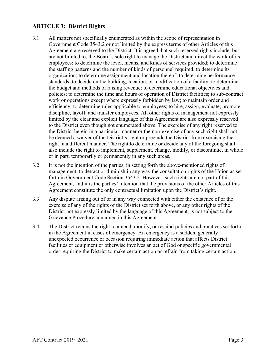#### **ARTICLE 3: District Rights**

- 3.1 All matters not specifically enumerated as within the scope of representation in Government Code 3543.2 or not limited by the express terms of other Articles of this Agreement are reserved to the District. It is agreed that such reserved rights include, but are not limited to, the Board's sole right to manage the District and direct the work of its employees; to determine the level, means, and kinds of services provided; to determine the staffing patterns and the number of kinds of personnel required; to determine its organization; to determine assignment and location thereof; to determine performance standards; to decide on the building, location, or modification of a facility; to determine the budget and methods of raising revenue; to determine educational objectives and policies; to determine the time and hours of operation of District facilities; to sub-contract work or operations except where expressly forbidden by law; to maintain order and efficiency; to determine rules applicable to employees; to hire, assign, evaluate, promote, discipline, layoff, and transfer employees. All other rights of management not expressly limited by the clear and explicit language of this Agreement are also expressly reserved to the District even though not enumerated above. The exercise of any right reserved to the District herein in a particular manner or the non-exercise of any such right shall not be deemed a waiver of the District's right or preclude the District from exercising the right in a different manner. The right to determine or decide any of the foregoing shall also include the right to implement, supplement, change, modify, or discontinue, in whole or in part, temporarily or permanently in any such areas.
- 3.2 It is not the intention of the parties, in setting forth the above-mentioned rights of management, to detract or diminish in any way the consultation rights of the Union as set forth in Government Code Section 3543.2. However, such rights are not part of this Agreement, and it is the parties' intention that the provisions of the other Articles of this Agreement constitute the only contractual limitation upon the District's right.
- 3.3 Any dispute arising out of or in any way connected with either the existence of or the exercise of any of the rights of the District set forth above, or any other rights of the District not expressly limited by the language of this Agreement, is not subject to the Grievance Procedure contained in this Agreement.
- 3.4 The District retains the right to amend, modify, or rescind policies and practices set forth in the Agreement in cases of emergency. An emergency is a sudden, generally unexpected occurrence or occasion requiring immediate action that affects District facilities or equipment or otherwise involves an act of God or specific governmental order requiring the District to make certain action or refrain from taking certain action.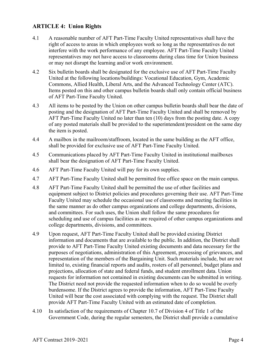#### **ARTICLE 4: Union Rights**

- 4.1 A reasonable number of AFT Part-Time Faculty United representatives shall have the right of access to areas in which employees work so long as the representatives do not interfere with the work performance of any employee. AFT Part-Time Faculty United representatives may not have access to classrooms during class time for Union business or may not disrupt the learning and/or work environment.
- 4.2 Six bulletin boards shall be designated for the exclusive use of AFT Part-Time Faculty United at the following locations/buildings: Vocational Education, Gym, Academic Commons, Allied Health, Liberal Arts, and the Advanced Technology Center (ATC). Items posted on this and other campus bulletin boards shall only contain official business of AFT Part-Time Faculty United.
- 4.3 All items to be posted by the Union on other campus bulletin boards shall bear the date of posting and the designation of AFT Part-Time Faculty United and shall be removed by AFT Part-Time Faculty United no later than ten (10) days from the posting date. A copy of any posted materials shall be provided to the superintendent/president on the same day the item is posted.
- 4.4 A mailbox in the mailroom/staffroom, located in the same building as the AFT office, shall be provided for exclusive use of AFT Part-Time Faculty United.
- 4.5 Communications placed by AFT Part-Time Faculty United in institutional mailboxes shall bear the designation of AFT Part-Time Faculty United.
- 4.6 AFT Part-Time Faculty United will pay for its own supplies.
- 4.7 AFT Part-Time Faculty United shall be permitted free office space on the main campus.
- 4.8 AFT Part-Time Faculty United shall be permitted the use of other facilities and equipment subject to District policies and procedures governing their use. AFT Part-Time Faculty United may schedule the occasional use of classrooms and meeting facilities in the same manner as do other campus organizations and college departments, divisions, and committees. For such uses, the Union shall follow the same procedures for scheduling and use of campus facilities as are required of other campus organizations and college departments, divisions, and committees.
- 4.9 Upon request, AFT Part-Time Faculty United shall be provided existing District information and documents that are available to the public. In addition, the District shall provide to AFT Part-Time Faculty United existing documents and data necessary for the purposes of negotiations, administration of this Agreement, processing of grievances, and representation of the members of the Bargaining Unit. Such materials include, but are not limited to, existing financial reports and audits, rosters of all personnel, budget plans and projections, allocation of state and federal funds, and student enrollment data. Union requests for information not contained in existing documents can be submitted in writing. The District need not provide the requested information when to do so would be overly burdensome. If the District agrees to provide the information, AFT Part-Time Faculty United will bear the cost associated with complying with the request. The District shall provide AFT Part-Time Faculty United with an estimated date of completion.
- 4.10 In satisfaction of the requirements of Chapter 10.7 of Division 4 of Title 1 of the Government Code, during the regular semesters, the District shall provide a cumulative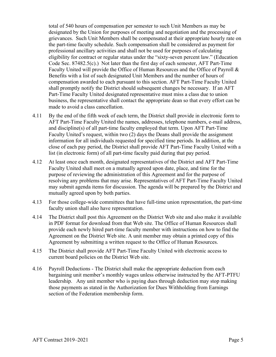total of 540 hours of compensation per semester to such Unit Members as may be designated by the Union for purposes of meeting and negotiation and the processing of grievances. Such Unit Members shall be compensated at their appropriate hourly rate on the part-time faculty schedule. Such compensation shall be considered as payment for professional ancillary activities and shall not be used for purposes of calculating eligibility for contract or regular status under the "sixty-seven percent law." (Education Code Sec. 87482.5(c).) Not later than the first day of each semester, AFT Part-Time Faculty United will provide the Office of Human Resources and the Office of Payroll & Benefits with a list of such designated Unit Members and the number of hours of compensation awarded to each pursuant to this section. AFT Part-Time Faculty United shall promptly notify the District should subsequent changes be necessary. If an AFT Part-Time Faculty United designated representative must miss a class due to union business, the representative shall contact the appropriate dean so that every effort can be made to avoid a class cancellation.

- 4.11 By the end of the fifth week of each term, the District shall provide in electronic form to AFT Part-Time Faculty United the names, addresses, telephone numbers, e-mail address, and discipline(s) of all part-time faculty employed that term. Upon AFT Part-Time Faculty United's request, within two (2) days the Deans shall provide the assignment information for all individuals requested for specified time periods. In addition, at the close of each pay period, the District shall provide AFT Part-Time Faculty United with a list (in electronic form) of all part-time faculty paid during that pay period.
- 4.12 At least once each month, designated representatives of the District and AFT Part-Time Faculty United shall meet on a mutually agreed upon date, place, and time for the purpose of reviewing the administration of this Agreement and for the purpose of resolving any problems that may arise. Representatives of AFT Part-Time Faculty United may submit agenda items for discussion. The agenda will be prepared by the District and mutually agreed upon by both parties.
- 4.13 For those college-wide committees that have full-time union representation, the part-time faculty union shall also have representation.
- 4.14 The District shall post this Agreement on the District Web site and also make it available in PDF format for download from that Web site. The Office of Human Resources shall provide each newly hired part-time faculty member with instructions on how to find the Agreement on the District Web site. A unit member may obtain a printed copy of this Agreement by submitting a written request to the Office of Human Resources.
- 4.15 The District shall provide AFT Part-Time Faculty United with electronic access to current board policies on the District Web site.
- 4.16 Payroll Deductions The District shall make the appropriate deduction from each bargaining unit member's monthly wages unless otherwise instructed by the AFT-PTFU leadership. Any unit member who is paying dues through deduction may stop making those payments as stated in the Authorization for Dues Withholding from Earnings section of the Federation membership form.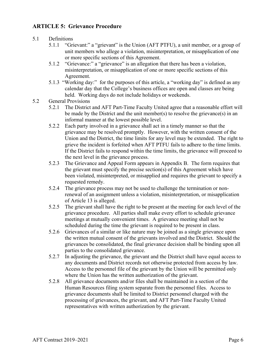#### **ARTICLE 5: Grievance Procedure**

#### 5.1 Definitions

- 5.1.1 "Grievant:" a "grievant" is the Union (AFT PTFU), a unit member, or a group of unit members who allege a violation, misinterpretation, or misapplication of one or more specific sections of this Agreement.
- 5.1.2 "Grievance:" a "grievance" is an allegation that there has been a violation, misinterpretation, or misapplication of one or more specific sections of this Agreement.
- 5.1.3 "Working day:" for the purposes of this article, a "working day" is defined as any calendar day that the College's business offices are open and classes are being held. Working days do not include holidays or weekends.
- 5.2 General Provisions
	- 5.2.1 The District and AFT Part-Time Faculty United agree that a reasonable effort will be made by the District and the unit member(s) to resolve the grievance(s) in an informal manner at the lowest possible level.
	- 5.2.2 Each party involved in a grievance shall act in a timely manner so that the grievance may be resolved promptly. However, with the written consent of the Union and the District, the time limits for any level may be extended. The right to grieve the incident is forfeited when AFT PTFU fails to adhere to the time limits. If the District fails to respond within the time limits, the grievance will proceed to the next level in the grievance process.
	- 5.2.3 The Grievance and Appeal Form appears in Appendix B. The form requires that the grievant must specify the precise section(s) of this Agreement which have been violated, misinterpreted, or misapplied and requires the grievant to specify a requested remedy.
	- 5.2.4 The grievance process may not be used to challenge the termination or nonrenewal of an assignment unless a violation, misinterpretation, or misapplication of Article 13 is alleged.
	- 5.2.5 The grievant shall have the right to be present at the meeting for each level of the grievance procedure. All parties shall make every effort to schedule grievance meetings at mutually convenient times. A grievance meeting shall not be scheduled during the time the grievant is required to be present in class.
	- 5.2.6 Grievances of a similar or like nature may be joined as a single grievance upon the written mutual consent of the grievants involved and the District. Should the grievances be consolidated, the final grievance decision shall be binding upon all parties to the consolidated grievance.
	- 5.2.7 In adjusting the grievance, the grievant and the District shall have equal access to any documents and District records not otherwise protected from access by law. Access to the personnel file of the grievant by the Union will be permitted only where the Union has the written authorization of the grievant.
	- 5.2.8 All grievance documents and/or files shall be maintained in a section of the Human Resources filing system separate from the personnel files. Access to grievance documents shall be limited to District personnel charged with the processing of grievances, the grievant, and AFT Part-Time Faculty United representatives with written authorization by the grievant.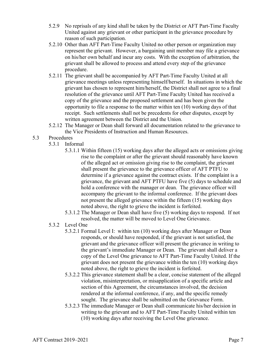- 5.2.9 No reprisals of any kind shall be taken by the District or AFT Part-Time Faculty United against any grievant or other participant in the grievance procedure by reason of such participation.
- 5.2.10 Other than AFT Part-Time Faculty United no other person or organization may represent the grievant. However, a bargaining unit member may file a grievance on his/her own behalf and incur any costs. With the exception of arbitration, the grievant shall be allowed to process and attend every step of the grievance procedure.
- 5.2.11 The grievant shall be accompanied by AFT Part-Time Faculty United at all grievance meetings unless representing himself/herself. In situations in which the grievant has chosen to represent him/herself, the District shall not agree to a final resolution of the grievance until AFT Part-Time Faculty United has received a copy of the grievance and the proposed settlement and has been given the opportunity to file a response to the matter within ten (10) working days of that receipt. Such settlements shall not be precedents for other disputes, except by written agreement between the District and the Union.
- 5.2.12 The Manager or Dean shall forward all documentation related to the grievance to the Vice Presidents of Instruction and Human Resources.
- 5.3 Procedures
	- 5.3.1 Informal
		- 5.3.1.1 Within fifteen (15) working days after the alleged acts or omissions giving rise to the complaint or after the grievant should reasonably have known of the alleged act or omission giving rise to the complaint, the grievant shall present the grievance to the grievance officer of AFT PTFU to determine if a grievance against the contract exists. If the complaint is a grievance, the grievant and AFT PTFU have five (5) days to schedule and hold a conference with the manager or dean. The grievance officer will accompany the grievant to the informal conference. If the grievant does not present the alleged grievance within the fifteen (15) working days noted above, the right to grieve the incident is forfeited.
		- 5.3.1.2 The Manager or Dean shall have five (5) working days to respond. If not resolved, the matter will be moved to Level One Grievance.
	- 5.3.2 Level One
		- 5.3.2.1 Formal Level I: within ten (10) working days after Manager or Dean responds, or should have responded, if the grievant is not satisfied, the grievant and the grievance officer will present the grievance in writing to the grievant's immediate Manager or Dean. The grievant shall deliver a copy of the Level One grievance to AFT Part-Time Faculty United. If the grievant does not present the grievance within the ten (10) working days noted above, the right to grieve the incident is forfeited.
		- 5.3.2.2 This grievance statement shall be a clear, concise statement of the alleged violation, misinterpretation, or misapplication of a specific article and section of this Agreement, the circumstances involved, the decision rendered at the informal conference, if any, and the specific remedy sought. The grievance shall be submitted on the Grievance Form.
		- 5.3.2.3 The immediate Manager or Dean shall communicate his/her decision in writing to the grievant and to AFT Part-Time Faculty United within ten (10) working days after receiving the Level One grievance.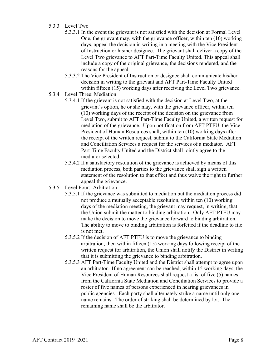#### 5.3.3 Level Two

- 5.3.3.1 In the event the grievant is not satisfied with the decision at Formal Level One, the grievant may, with the grievance officer, within ten (10) working days, appeal the decision in writing in a meeting with the Vice President of Instruction or his/her designee. The grievant shall deliver a copy of the Level Two grievance to AFT Part-Time Faculty United. This appeal shall include a copy of the original grievance, the decisions rendered, and the reasons for the appeal.
- 5.3.3.2 The Vice President of Instruction or designee shall communicate his/her decision in writing to the grievant and AFT Part-Time Faculty United within fifteen (15) working days after receiving the Level Two grievance.
- 5.3.4 Level Three: Mediation
	- 5.3.4.1 If the grievant is not satisfied with the decision at Level Two, at the grievant's option, he or she may, with the grievance officer, within ten (10) working days of the receipt of the decision on the grievance from Level Two, submit to AFT Part-Time Faculty United, a written request for mediation of the grievance. Upon notification from AFT PTFU, the Vice President of Human Resources shall, within ten (10) working days after the receipt of the written request, submit to the California State Mediation and Conciliation Services a request for the services of a mediator. AFT Part-Time Faculty United and the District shall jointly agree to the mediator selected.
	- 5.3.4.2 If a satisfactory resolution of the grievance is achieved by means of this mediation process, both parties to the grievance shall sign a written statement of the resolution to that effect and thus waive the right to further appeal the grievance.
- 5.3.5 Level Four: Arbitration
	- 5.3.5.1 If the grievance was submitted to mediation but the mediation process did not produce a mutually acceptable resolution, within ten (10) working days of the mediation meeting, the grievant may request, in writing, that the Union submit the matter to binding arbitration. Only AFT PTFU may make the decision to move the grievance forward to binding arbitration. The ability to move to binding arbitration is forfeited if the deadline to file is not met.
	- 5.3.5.2 If the decision of AFT PTFU is to move the grievance to binding arbitration, then within fifteen (15) working days following receipt of the written request for arbitration, the Union shall notify the District in writing that it is submitting the grievance to binding arbitration.
	- 5.3.5.3 AFT Part-Time Faculty United and the District shall attempt to agree upon an arbitrator. If no agreement can be reached, within 15 working days, the Vice President of Human Resources shall request a list of five (5) names from the California State Mediation and Conciliation Services to provide a roster of five names of persons experienced in hearing grievances in public agencies. Each party shall alternately strike a name until only one name remains. The order of striking shall be determined by lot. The remaining name shall be the arbitrator.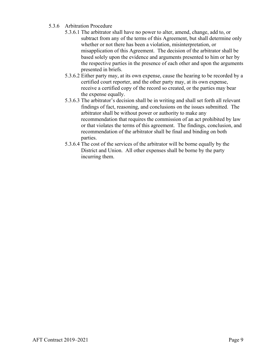#### 5.3.6 Arbitration Procedure

- 5.3.6.1 The arbitrator shall have no power to alter, amend, change, add to, or subtract from any of the terms of this Agreement, but shall determine only whether or not there has been a violation, misinterpretation, or misapplication of this Agreement. The decision of the arbitrator shall be based solely upon the evidence and arguments presented to him or her by the respective parties in the presence of each other and upon the arguments presented in briefs.
- 5.3.6.2 Either party may, at its own expense, cause the hearing to be recorded by a certified court reporter, and the other party may, at its own expense, receive a certified copy of the record so created, or the parties may bear the expense equally.
- 5.3.6.3 The arbitrator's decision shall be in writing and shall set forth all relevant findings of fact, reasoning, and conclusions on the issues submitted. The arbitrator shall be without power or authority to make any recommendation that requires the commission of an act prohibited by law or that violates the terms of this agreement. The findings, conclusion, and recommendation of the arbitrator shall be final and binding on both parties.
- 5.3.6.4 The cost of the services of the arbitrator will be borne equally by the District and Union. All other expenses shall be borne by the party incurring them.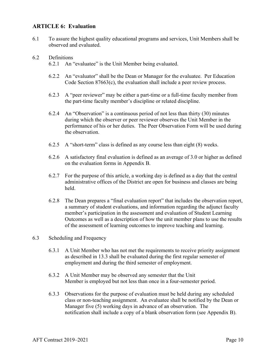#### **ARTICLE 6: Evaluation**

6.1 To assure the highest quality educational programs and services, Unit Members shall be observed and evaluated.

#### 6.2 Definitions

- 6.2.1 An "evaluatee" is the Unit Member being evaluated.
- 6.2.2 An "evaluator" shall be the Dean or Manager for the evaluatee. Per Education Code Section 87663(c), the evaluation shall include a peer review process.
- 6.2.3 A "peer reviewer" may be either a part-time or a full-time faculty member from the part-time faculty member's discipline or related discipline.
- 6.2.4 An "Observation" is a continuous period of not less than thirty (30) minutes during which the observer or peer reviewer observes the Unit Member in the performance of his or her duties. The Peer Observation Form will be used during the observation.
- 6.2.5 A "short-term" class is defined as any course less than eight (8) weeks.
- 6.2.6 A satisfactory final evaluation is defined as an average of 3.0 or higher as defined on the evaluation forms in Appendix B.
- 6.2.7 For the purpose of this article, a working day is defined as a day that the central administrative offices of the District are open for business and classes are being held.
- 6.2.8 The Dean prepares a "final evaluation report" that includes the observation report, a summary of student evaluations, and information regarding the adjunct faculty member's participation in the assessment and evaluation of Student Learning Outcomes as well as a description of how the unit member plans to use the results of the assessment of learning outcomes to improve teaching and learning.

#### 6.3 Scheduling and Frequency

- 6.3.1 A Unit Member who has not met the requirements to receive priority assignment as described in 13.3 shall be evaluated during the first regular semester of employment and during the third semester of employment.
- 6.3.2 A Unit Member may be observed any semester that the Unit Member is employed but not less than once in a four-semester period.
- 6.3.3 Observations for the purpose of evaluation must be held during any scheduled class or non-teaching assignment. An evaluatee shall be notified by the Dean or Manager five (5) working days in advance of an observation. The notification shall include a copy of a blank observation form (see Appendix B).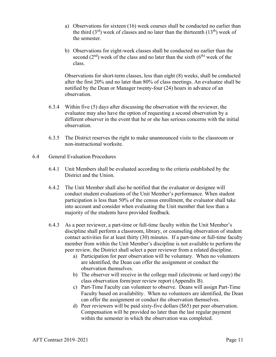- a) Observations for sixteen (16) week courses shall be conducted no earlier than the third  $(3<sup>rd</sup>)$  week of classes and no later than the thirteenth  $(13<sup>th</sup>)$  week of the semester.
- b) Observations for eight-week classes shall be conducted no earlier than the second  $(2<sup>nd</sup>)$  week of the class and no later than the sixth  $(6<sup>th</sup>)$  week of the class.

Observations for short-term classes, less than eight (8) weeks, shall be conducted after the first 20% and no later than 80% of class meetings. An evaluatee shall be notified by the Dean or Manager twenty-four (24) hours in advance of an observation.

- 6.3.4 Within five (5) days after discussing the observation with the reviewer, the evaluatee may also have the option of requesting a second observation by a different observer in the event that he or she has serious concerns with the initial observation.
- 6.3.5 The District reserves the right to make unannounced visits to the classroom or non-instructional worksite.
- 6.4 General Evaluation Procedures
	- 6.4.1 Unit Members shall be evaluated according to the criteria established by the District and the Union.
	- 6.4.2 The Unit Member shall also be notified that the evaluator or designee will conduct student evaluations of the Unit Member's performance. When student participation is less than 50% of the census enrollment, the evaluator shall take into account and consider when evaluating the Unit member that less than a majority of the students have provided feedback.
	- 6.4.3 As a peer reviewer, a part-time or full-time faculty within the Unit Member's discipline shall perform a classroom, library, or counseling observation of student contact activities for at least thirty (30) minutes. If a part-time or full-time faculty member from within the Unit Member's discipline is not available to perform the peer review, the District shall select a peer reviewer from a related discipline.
		- a) Participation for peer observation will be voluntary. When no volunteers are identified, the Dean can offer the assignment or conduct the observation themselves.
		- b) The observer will receive in the college mail (electronic or hard copy) the class observation form/peer review report (Appendix B).
		- c) Part-Time Faculty can volunteer to observe. Deans will assign Part-Time Faculty based on availability. When no volunteers are identified, the Dean can offer the assignment or conduct the observation themselves.
		- d) Peer reviewers will be paid sixty-five dollars (\$65) per peer observation. Compensation will be provided no later than the last regular payment within the semester in which the observation was completed.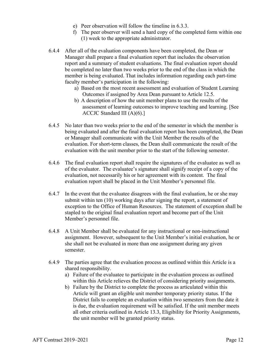- e) Peer observation will follow the timeline in 6.3.3.
- f) The peer observer will send a hard copy of the completed form within one (1) week to the appropriate administrator.
- 6.4.4 After all of the evaluation components have been completed, the Dean or Manager shall prepare a final evaluation report that includes the observation report and a summary of student evaluations. The final evaluation report should be completed no later than two weeks prior to the end of the class in which the member is being evaluated. That includes information regarding each part-time faculty member's participation in the following:
	- a) Based on the most recent assessment and evaluation of Student Learning Outcomes if assigned by Area Dean pursuant to Article 12.5.
	- b) A description of how the unit member plans to use the results of the assessment of learning outcomes to improve teaching and learning. [See ACCJC Standard III (A)(6).]
- 6.4.5 No later than two weeks prior to the end of the semester in which the member is being evaluated and after the final evaluation report has been completed, the Dean or Manager shall communicate with the Unit Member the results of the evaluation. For short-term classes, the Dean shall communicate the result of the evaluation with the unit member prior to the start of the following semester.
- 6.4.6 The final evaluation report shall require the signatures of the evaluatee as well as of the evaluator. The evaluatee's signature shall signify receipt of a copy of the evaluation, not necessarily his or her agreement with its content. The final evaluation report shall be placed in the Unit Member's personnel file.
- 6.4.7 In the event that the evaluatee disagrees with the final evaluation, he or she may submit within ten (10) working days after signing the report, a statement of exception to the Office of Human Resources. The statement of exception shall be stapled to the original final evaluation report and become part of the Unit Member's personnel file.
- 6.4.8 A Unit Member shall be evaluated for any instructional or non-instructional assignment. However, subsequent to the Unit Member's initial evaluation, he or she shall not be evaluated in more than one assignment during any given semester.
- 6.4.9 The parties agree that the evaluation process as outlined within this Article is a shared responsibility.
	- a) Failure of the evaluatee to participate in the evaluation process as outlined within this Article relieves the District of considering priority assignments.
	- b) Failure by the District to complete the process as articulated within this Article will grant an eligible unit member temporary priority status. If the District fails to complete an evaluation within two semesters from the date it is due, the evaluation requirement will be satisfied. If the unit member meets all other criteria outlined in Article 13.3, Eligibility for Priority Assignments, the unit member will be granted priority status.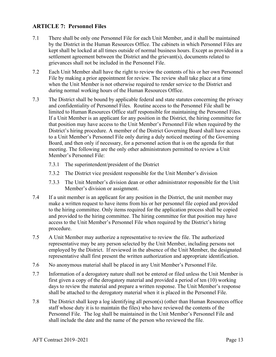#### **ARTICLE 7: Personnel Files**

- 7.1 There shall be only one Personnel File for each Unit Member, and it shall be maintained by the District in the Human Resources Office. The cabinets in which Personnel Files are kept shall be locked at all times outside of normal business hours. Except as provided in a settlement agreement between the District and the grievant(s), documents related to grievances shall not be included in the Personnel File.
- 7.2 Each Unit Member shall have the right to review the contents of his or her own Personnel File by making a prior appointment for review. The review shall take place at a time when the Unit Member is not otherwise required to render service to the District and during normal working hours of the Human Resources Office.
- 7.3 The District shall be bound by applicable federal and state statutes concerning the privacy and confidentiality of Personnel Files. Routine access to the Personnel File shall be limited to Human Resources Office staff responsible for maintaining the Personnel Files. If a Unit Member is an applicant for any position in the District, the hiring committee for that position may have access to the Unit Member's Personnel File when required by the District's hiring procedure. A member of the District Governing Board shall have access to a Unit Member's Personnel File only during a duly noticed meeting of the Governing Board, and then only if necessary, for a personnel action that is on the agenda for that meeting. The following are the only other administrators permitted to review a Unit Member's Personnel File:
	- 7.3.1 The superintendent/president of the District
	- 7.3.2 The District vice president responsible for the Unit Member's division
	- 7.3.3 The Unit Member's division dean or other administrator responsible for the Unit Member's division or assignment.
- 7.4 If a unit member is an applicant for any position in the District, the unit member may make a written request to have items from his or her personnel file copied and provided to the hiring committee. Only items required for the application process shall be copied and provided to the hiring committee. The hiring committee for that position may have access to the Unit Member's Personnel File when required by the District's hiring procedure.
- 7.5 A Unit Member may authorize a representative to review the file. The authorized representative may be any person selected by the Unit Member, including persons not employed by the District. If reviewed in the absence of the Unit Member, the designated representative shall first present the written authorization and appropriate identification.
- 7.6 No anonymous material shall be placed in any Unit Member's Personnel File.
- 7.7 Information of a derogatory nature shall not be entered or filed unless the Unit Member is first given a copy of the derogatory material and provided a period of ten (10) working days to review the material and prepare a written response. The Unit Member's response shall be attached to the derogatory material when it is placed in the Personnel File.
- 7.8 The District shall keep a log identifying all person(s) (other than Human Resources office staff whose duty it is to maintain the files) who have reviewed the contents of the Personnel File. The log shall be maintained in the Unit Member's Personnel File and shall include the date and the name of the person who reviewed the file.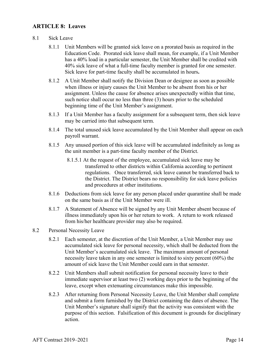#### **ARTICLE 8: Leaves**

#### 8.1 Sick Leave

- 8.1.1 Unit Members will be granted sick leave on a prorated basis as required in the Education Code. Prorated sick leave shall mean, for example, if a Unit Member has a 40% load in a particular semester, the Unit Member shall be credited with 40% sick leave of what a full-time faculty member is granted for one semester. Sick leave for part-time faculty shall be accumulated in hours**.**
- 8.1.2 A Unit Member shall notify the Division Dean or designee as soon as possible when illness or injury causes the Unit Member to be absent from his or her assignment. Unless the cause for absence arises unexpectedly within that time, such notice shall occur no less than three (3) hours prior to the scheduled beginning time of the Unit Member's assignment.
- 8.1.3 If a Unit Member has a faculty assignment for a subsequent term, then sick leave may be carried into that subsequent term.
- 8.1.4 The total unused sick leave accumulated by the Unit Member shall appear on each payroll warrant.
- 8.1.5 Any unused portion of this sick leave will be accumulated indefinitely as long as the unit member is a part-time faculty member of the District.
	- 8.1.5.1 At the request of the employee, accumulated sick leave may be transferred to other districts within California according to pertinent regulations. Once transferred, sick leave cannot be transferred back to the District. The District bears no responsibility for sick leave policies and procedures at other institutions.
- 8.1.6 Deductions from sick leave for any person placed under quarantine shall be made on the same basis as if the Unit Member were ill.
- 8.1.7 A Statement of Absence will be signed by any Unit Member absent because of illness immediately upon his or her return to work. A return to work released from his/her healthcare provider may also be required.

#### 8.2 Personal Necessity Leave

- 8.2.1 Each semester, at the discretion of the Unit Member, a Unit Member may use accumulated sick leave for personal necessity, which shall be deducted from the Unit Member's accumulated sick leave. The maximum amount of personal necessity leave taken in any one semester is limited to sixty percent (60%) the amount of sick leave the Unit Member could earn in that semester.
- 8.2.2 Unit Members shall submit notification for personal necessity leave to their immediate supervisor at least two (2) working days prior to the beginning of the leave, except when extenuating circumstances make this impossible.
- 8.2.3 After returning from Personal Necessity Leave, the Unit Member shall complete and submit a form furnished by the District containing the dates of absence. The Unit Member's signature shall signify that the activity was consistent with the purpose of this section. Falsification of this document is grounds for disciplinary action.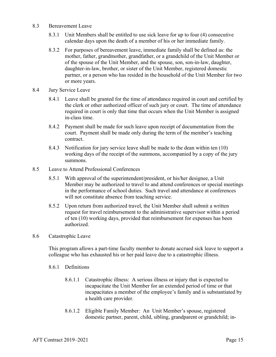- 8.3 Bereavement Leave
	- 8.3.1 Unit Members shall be entitled to use sick leave for up to four (4) consecutive calendar days upon the death of a member of his or her immediate family.
	- 8.3.2 For purposes of bereavement leave, immediate family shall be defined as: the mother, father, grandmother, grandfather, or a grandchild of the Unit Member or of the spouse of the Unit Member, and the spouse, son, son-in-law, daughter, daughter-in-law, brother, or sister of the Unit Member, registered domestic partner, or a person who has resided in the household of the Unit Member for two or more years.
- 8.4 Jury Service Leave
	- 8.4.1 Leave shall be granted for the time of attendance required in court and certified by the clerk or other authorized officer of such jury or court. The time of attendance required in court is only that time that occurs when the Unit Member is assigned in-class time.
	- 8.4.2 Payment shall be made for such leave upon receipt of documentation from the court. Payment shall be made only during the term of the member's teaching contract.
	- 8.4.3 Notification for jury service leave shall be made to the dean within ten (10) working days of the receipt of the summons, accompanied by a copy of the jury summons.
- 8.5 Leave to Attend Professional Conferences
	- 8.5.1 With approval of the superintendent/president, or his/her designee, a Unit Member may be authorized to travel to and attend conferences or special meetings in the performance of school duties. Such travel and attendance at conferences will not constitute absence from teaching service.
	- 8.5.2 Upon return from authorized travel, the Unit Member shall submit a written request for travel reimbursement to the administrative supervisor within a period of ten (10) working days, provided that reimbursement for expenses has been authorized.
- 8.6 Catastrophic Leave

This program allows a part-time faculty member to donate accrued sick leave to support a colleague who has exhausted his or her paid leave due to a catastrophic illness.

- 8.6.1 Definitions
	- 8.6.1.1 Catastrophic illness: A serious illness or injury that is expected to incapacitate the Unit Member for an extended period of time or that incapacitates a member of the employee's family and is substantiated by a health care provider.
	- 8.6.1.2 Eligible Family Member: An Unit Member's spouse, registered domestic partner, parent, child, sibling, grandparent or grandchild; in-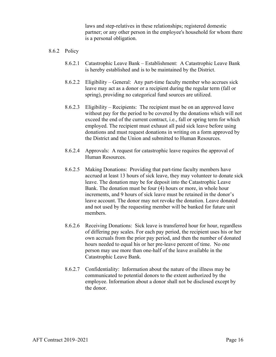laws and step-relatives in these relationships; registered domestic partner; or any other person in the employee's household for whom there is a personal obligation.

#### 8.6.2 Policy

- 8.6.2.1 Catastrophic Leave Bank Establishment: A Catastrophic Leave Bank is hereby established and is to be maintained by the District.
- 8.6.2.2 Eligibility General: Any part-time faculty member who accrues sick leave may act as a donor or a recipient during the regular term (fall or spring), providing no categorical fund sources are utilized.
- 8.6.2.3 Eligibility Recipients: The recipient must be on an approved leave without pay for the period to be covered by the donations which will not exceed the end of the current contract, i.e., fall or spring term for which employed. The recipient must exhaust all paid sick leave before using donations and must request donations in writing on a form approved by the District and the Union and submitted to Human Resources.
- 8.6.2.4 Approvals: A request for catastrophic leave requires the approval of Human Resources.
- 8.6.2.5 Making Donations: Providing that part-time faculty members have accrued at least 13 hours of sick leave, they may volunteer to donate sick leave. The donation may be for deposit into the Catastrophic Leave Bank. The donation must be four (4) hours or more, in whole hour increments, and 9 hours of sick leave must be retained in the donor's leave account. The donor may not revoke the donation. Leave donated and not used by the requesting member will be banked for future unit members.
- 8.6.2.6 Receiving Donations: Sick leave is transferred hour for hour, regardless of differing pay scales. For each pay period, the recipient uses his or her own accruals from the prior pay period, and then the number of donated hours needed to equal his or her pre-leave percent of time. No one person may use more than one-half of the leave available in the Catastrophic Leave Bank.
- 8.6.2.7 Confidentiality: Information about the nature of the illness may be communicated to potential donors to the extent authorized by the employee. Information about a donor shall not be disclosed except by the donor.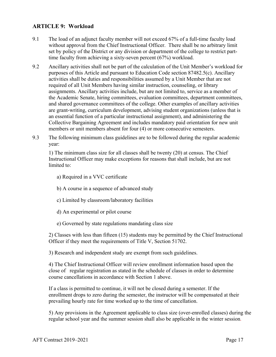#### **ARTICLE 9: Workload**

- 9.1 The load of an adjunct faculty member will not exceed 67% of a full-time faculty load without approval from the Chief Instructional Officer. There shall be no arbitrary limit set by policy of the District or any division or department of the college to restrict parttime faculty from achieving a sixty-seven percent (67%) workload.
- 9.2 Ancillary activities shall not be part of the calculation of the Unit Member's workload for purposes of this Article and pursuant to Education Code section 87482.5(c). Ancillary activities shall be duties and responsibilities assumed by a Unit Member that are not required of all Unit Members having similar instruction, counseling, or library assignments. Ancillary activities include, but are not limited to, service as a member of the Academic Senate, hiring committees, evaluation committees, department committees, and shared governance committees of the college. Other examples of ancillary activities are grant-writing, curriculum development, advising student organizations (unless that is an essential function of a particular instructional assignment), and administering the Collective Bargaining Agreement and includes mandatory paid orientation for new unit members or unit members absent for four (4) or more consecutive semesters.
- 9.3 The following minimum class guidelines are to be followed during the regular academic year:

1) The minimum class size for all classes shall be twenty (20) at census. The Chief Instructional Officer may make exceptions for reasons that shall include, but are not limited to:

- a) Required in a VVC certificate
- b) A course in a sequence of advanced study
- c) Limited by classroom/laboratory facilities
- d) An experimental or pilot course
- e) Governed by state regulations mandating class size

 2) Classes with less than fifteen (15) students may be permitted by the Chief Instructional Officer if they meet the requirements of Title V, Section 51702.

3) Research and independent study are exempt from such guidelines.

 4) The Chief Instructional Officer will review enrollment information based upon the close of regular registration as stated in the schedule of classes in order to determine course cancellations in accordance with Section 1 above.

If a class is permitted to continue, it will not be closed during a semester. If the enrollment drops to zero during the semester, the instructor will be compensated at their prevailing hourly rate for time worked up to the time of cancellation.

 5) Any provisions in the Agreement applicable to class size (over-enrolled classes) during the regular school year and the summer session shall also be applicable in the winter session*.*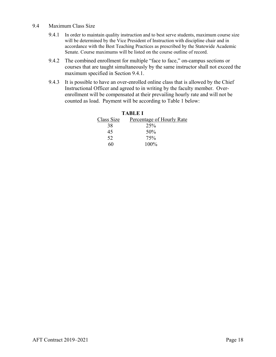- 9.4 Maximum Class Size
	- 9.4.1 In order to maintain quality instruction and to best serve students, maximum course size will be determined by the Vice President of Instruction with discipline chair and in accordance with the Best Teaching Practices as prescribed by the Statewide Academic Senate. Course maximums will be listed on the course outline of record.
	- 9.4.2 The combined enrollment for multiple "face to face," on-campus sections or courses that are taught simultaneously by the same instructor shall not exceed the maximum specified in Section 9.4.1.
	- 9.4.3 It is possible to have an over-enrolled online class that is allowed by the Chief Instructional Officer and agreed to in writing by the faculty member. Overenrollment will be compensated at their prevailing hourly rate and will not be counted as load. Payment will be according to Table 1 below:

|            | <b>TABLE I</b>            |
|------------|---------------------------|
| Class Size | Percentage of Hourly Rate |
| 38         | 25%                       |
| 45         | 50%                       |
| 52         | 75%                       |
| 60         | $100\%$                   |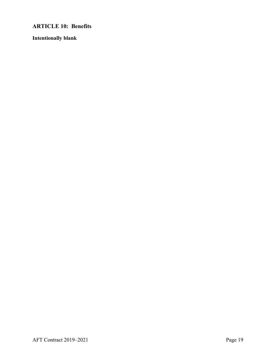**ARTICLE 10: Benefits** 

**Intentionally blank**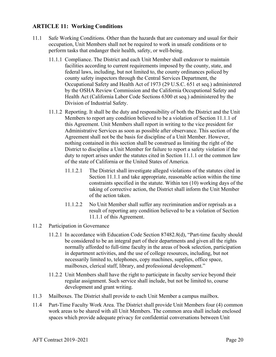#### **ARTICLE 11: Working Conditions**

- 11.1 Safe Working Conditions. Other than the hazards that are customary and usual for their occupation, Unit Members shall not be required to work in unsafe conditions or to perform tasks that endanger their health, safety, or well-being.
	- 11.1.1 Compliance. The District and each Unit Member shall endeavor to maintain facilities according to current requirements imposed by the county, state, and federal laws, including, but not limited to, the county ordinances policed by county safety inspectors through the Central Services Department, the Occupational Safety and Health Act of 1973 (29 U.S.C. 651 et seq.) administered by the OSHA Review Commission and the California Occupational Safety and Health Act (California Labor Code Sections 6300 et seq.) administered by the Division of Industrial Safety.
	- 11.1.2 Reporting. It shall be the duty and responsibility of both the District and the Unit Members to report any condition believed to be a violation of Section 11.1.1 of this Agreement. Unit Members shall report in writing to the vice president for Administrative Services as soon as possible after observance. This section of the Agreement shall not be the basis for discipline of a Unit Member. However, nothing contained in this section shall be construed as limiting the right of the District to discipline a Unit Member for failure to report a safety violation if the duty to report arises under the statutes cited in Section 11.1.1 or the common law of the state of California or the United States of America.
		- 11.1.2.1 The District shall investigate alleged violations of the statutes cited in Section 11.1.1 and take appropriate, reasonable action within the time constraints specified in the statute. Within ten (10) working days of the taking of corrective action, the District shall inform the Unit Member of the action taken.
		- 11.1.2.2 No Unit Member shall suffer any recrimination and/or reprisals as a result of reporting any condition believed to be a violation of Section 11.1.1 of this Agreement.
- 11.2 Participation in Governance
	- 11.2.1 In accordance with Education Code Section 87482.8(d), "Part-time faculty should be considered to be an integral part of their departments and given all the rights normally afforded to full-time faculty in the areas of book selection, participation in department activities, and the use of college resources, including, but not necessarily limited to, telephones, copy machines, supplies, office space, mailboxes, clerical staff, library, and professional development."
	- 11.2.2 Unit Members shall have the right to participate in faculty service beyond their regular assignment. Such service shall include, but not be limited to, course development and grant writing.
- 11.3 Mailboxes. The District shall provide to each Unit Member a campus mailbox.
- 11.4 Part-Time Faculty Work Area. The District shall provide Unit Members four (4) common work areas to be shared with all Unit Members. The common area shall include enclosed spaces which provide adequate privacy for confidential conversations between Unit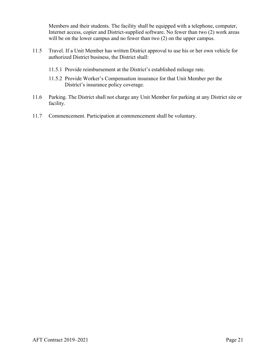Members and their students. The facility shall be equipped with a telephone, computer, Internet access, copier and District-supplied software. No fewer than two (2) work areas will be on the lower campus and no fewer than two  $(2)$  on the upper campus.

- 11.5 Travel. If a Unit Member has written District approval to use his or her own vehicle for authorized District business, the District shall:
	- 11.5.1 Provide reimbursement at the District's established mileage rate.
	- 11.5.2 Provide Worker's Compensation insurance for that Unit Member per the District's insurance policy coverage.
- 11.6 Parking. The District shall not charge any Unit Member for parking at any District site or facility.
- 11.7 Commencement. Participation at commencement shall be voluntary.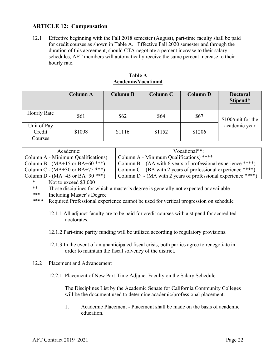#### **ARTICLE 12: Compensation**

12.1 Effective beginning with the Fall 2018 semester (August), part-time faculty shall be paid for credit courses as shown in Table A. Effective Fall 2020 semester and through the duration of this agreement, should CTA negotiate a percent increase to their salary schedules, AFT members will automatically receive the same percent increase to their hourly rate.

|                                  | <b>Column A</b> | <b>Column B</b> | Column C | <b>Column D</b> | <b>Doctoral</b><br>Stipend* |
|----------------------------------|-----------------|-----------------|----------|-----------------|-----------------------------|
| <b>Hourly Rate</b>               | \$61            | \$62            | \$64     | \$67            | \$100/unit for the          |
| Unit of Pay<br>Credit<br>Courses | \$1098          | \$1116          | \$1152   | \$1206          | academic year               |

#### **Table A Academic/Vocational**

| Academic:                                     | Vocational**:                                                |
|-----------------------------------------------|--------------------------------------------------------------|
| Column A - Minimum Qualifications)            | Column A - Minimum Qualifications) ****                      |
| Column B - $(MA+15$ or BA+60 <sup>***</sup> ) | Column B – (AA with 6 years of professional experience ****) |
| Column C - $(MA+30 \text{ or } BA+75$ ***)    | Column C – (BA with 2 years of professional experience ****) |
| Column D - (MA+45 or BA+90 ***)               | Column D - (MA with 2 years of professional experience ****) |

\* Not to exceed \$3,000

\*\* Those disciplines for which a master's degree is generally not expected or available

\*\*\* Including Master's Degree

\*\*\*\* Required Professional experience cannot be used for vertical progression on schedule

- 12.1.1 All adjunct faculty are to be paid for credit courses with a stipend for accredited doctorates.
- 12.1.2 Part-time parity funding will be utilized according to regulatory provisions.
- 12.1.3 In the event of an unanticipated fiscal crisis, both parties agree to renegotiate in order to maintain the fiscal solvency of the district.
- 12.2 Placement and Advancement

12.2.1 Placement of New Part-Time Adjunct Faculty on the Salary Schedule

The Disciplines List by the Academic Senate for California Community Colleges will be the document used to determine academic/professional placement.

1. Academic Placement - Placement shall be made on the basis of academic education.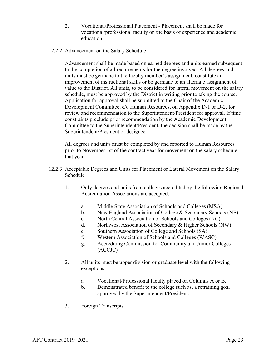- 2. Vocational/Professional Placement Placement shall be made for vocational/professional faculty on the basis of experience and academic education.
- 12.2.2 Advancement on the Salary Schedule

Advancement shall be made based on earned degrees and units earned subsequent to the completion of all requirements for the degree involved. All degrees and units must be germane to the faculty member's assignment, constitute an improvement of instructional skills or be germane to an alternate assignment of value to the District. All units, to be considered for lateral movement on the salary schedule, must be approved by the District in writing prior to taking the course. Application for approval shall be submitted to the Chair of the Academic Development Committee, c/o Human Resources, on Appendix D-1 or D-2, for review and recommendation to the Superintendent/President for approval. If time constraints preclude prior recommendation by the Academic Development Committee to the Superintendent/President, the decision shall be made by the Superintendent/President or designee.

All degrees and units must be completed by and reported to Human Resources prior to November 1st of the contract year for movement on the salary schedule that year.

- 12.2.3 Acceptable Degrees and Units for Placement or Lateral Movement on the Salary Schedule
	- 1. Only degrees and units from colleges accredited by the following Regional Accreditation Associations are accepted:
		- a. Middle State Association of Schools and Colleges (MSA)
		- b. New England Association of College & Secondary Schools (NE)
		- c. North Central Association of Schools and Colleges (NC)
		- d. Northwest Association of Secondary & Higher Schools (NW)
		- e. Southern Association of College and Schools (SA)
		- f. Western Association of Schools and Colleges (WASC)
		- g. Accrediting Commission for Community and Junior Colleges (ACCJC)
	- 2. All units must be upper division or graduate level with the following exceptions:
		- a. Vocational/Professional faculty placed on Columns A or B.
		- b. Demonstrated benefit to the college such as, a retraining goal approved by the Superintendent/President.
	- 3. Foreign Transcripts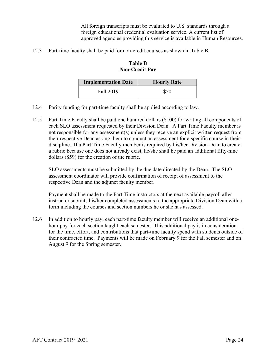All foreign transcripts must be evaluated to U.S. standards through a foreign educational credential evaluation service. A current list of approved agencies providing this service is available in Human Resources.

12.3 Part-time faculty shall be paid for non-credit courses as shown in Table B.

**Table B Non-Credit Pay** 

| <b>Implementation Date</b> | <b>Hourly Rate</b> |
|----------------------------|--------------------|
| Fall 2019                  | \$50               |

- 12.4 Parity funding for part-time faculty shall be applied according to law.
- 12.5Part Time Faculty shall be paid one hundred dollars (\$100) for writing all components of each SLO assessment requested by their Division Dean. A Part Time Faculty member is not responsible for any assessment(s) unless they receive an explicit written request from their respective Dean asking them to conduct an assessment for a specific course in their discipline. If a Part Time Faculty member is required by his/her Division Dean to create a rubric because one does not already exist, he/she shall be paid an additional fifty-nine dollars (\$59) for the creation of the rubric.

SLO assessments must be submitted by the due date directed by the Dean. The SLO assessment coordinator will provide confirmation of receipt of assessment to the respective Dean and the adjunct faculty member.

Payment shall be made to the Part Time instructors at the next available payroll after instructor submits his/her completed assessments to the appropriate Division Dean with a form including the courses and section numbers he or she has assessed.

12.6 In addition to hourly pay, each part-time faculty member will receive an additional onehour pay for each section taught each semester. This additional pay is in consideration for the time, effort, and contributions that part-time faculty spend with students outside of their contracted time. Payments will be made on February 9 for the Fall semester and on August 9 for the Spring semester.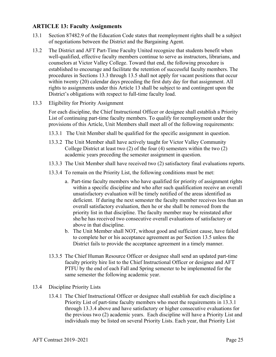#### **ARTICLE 13: Faculty Assignments**

- 13.1 Section 87482.9 of the Education Code states that reemployment rights shall be a subject of negotiations between the District and the Bargaining Agent.
- 13.2 The District and AFT Part-Time Faculty United recognize that students benefit when well-qualified, effective faculty members continue to serve as instructors, librarians, and counselors at Victor Valley College. Toward that end, the following procedure is established to encourage and facilitate the retention of successful faculty members. The procedures in Sections 13.3 through 13.5 shall not apply for vacant positions that occur within twenty (20) calendar days preceding the first duty day for that assignment. All rights to assignments under this Article 13 shall be subject to and contingent upon the District's obligations with respect to full-time faculty load.
- 13.3 Eligibility for Priority Assignment

For each discipline, the Chief Instructional Officer or designee shall establish a Priority List of continuing part-time faculty members. To qualify for reemployment under the provisions of this Article, Unit Members shall meet all of the following requirements:

- 13.3.1 The Unit Member shall be qualified for the specific assignment in question.
- 13.3.2 The Unit Member shall have actively taught for Victor Valley Community College District at least two (2) of the four (4) semesters within the two (2) academic years preceding the semester assignment in question.
- 13.3.3 The Unit Member shall have received two (2) satisfactory final evaluations reports.
- 13.3.4 To remain on the Priority List, the following conditions must be met:
	- a. Part-time faculty members who have qualified for priority of assignment rights within a specific discipline and who after such qualification receive an overall unsatisfactory evaluation will be timely notified of the areas identified as deficient. If during the next semester the faculty member receives less than an overall satisfactory evaluation, then he or she shall be removed from the priority list in that discipline. The faculty member may be reinstated after she/he has received two consecutive overall evaluations of satisfactory or above in that discipline.
	- b. The Unit Member shall NOT, without good and sufficient cause, have failed to complete her or his acceptance agreement as per Section 13.5 unless the District fails to provide the acceptance agreement in a timely manner.
- 13.3.5 The Chief Human Resource Officer or designee shall send an updated part-time faculty priority hire list to the Chief Instructional Officer or designee and AFT PTFU by the end of each Fall and Spring semester to be implemented for the same semester the following academic year.
- 13.4 Discipline Priority Lists
	- 13.4.1 The Chief Instructional Officer or designee shall establish for each discipline a Priority List of part-time faculty members who meet the requirements in 13.3.1 through 13.3.4 above and have satisfactory or higher consecutive evaluations for the previous two (2) academic years. Each discipline will have a Priority List and individuals may be listed on several Priority Lists. Each year, that Priority List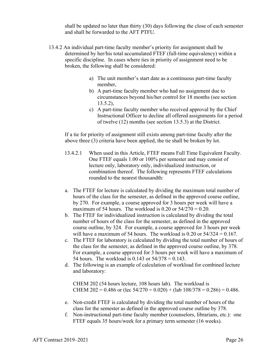shall be updated no later than thirty (30) days following the close of each semester and shall be forwarded to the AFT PTFU.

- 13.4.2 An individual part-time faculty member's priority for assignment shall be determined by her/his total accumulated FTEF (full-time equivalency) within a specific discipline. In cases where ties in priority of assignment need to be broken, the following shall be considered:
	- a) The unit member's start date as a continuous part-time faculty member,
	- b) A part-time faculty member who had no assignment due to circumstances beyond his/her control for 18 months (see section 13.5.2),
	- c) A part-time faculty member who received approval by the Chief Instructional Officer to decline all offered assignments for a period of twelve (12) months (see section 13.5.3) at the District.

If a tie for priority of assignment still exists among part-time faculty after the above three (3) criteria have been applied, the tie shall be broken by lot.

- 13.4.2.1 When used in this Article, FTEF means Full Time Equivalent Faculty. One FTEF equals 1.00 or 100% per semester and may consist of lecture only, laboratory only, individualized instruction, or combination thereof. The following represents FTEF calculations rounded to the nearest thousandth:
- a. The FTEF for lecture is calculated by dividing the maximum total number of hours of the class for the semester, as defined in the approved course outline, by 270. For example, a course approved for 3 hours per week will have a maximum of 54 hours. The workload is 0.20 or  $54/270 = 0.20$ .
- b. The FTEF for individualized instruction is calculated by dividing the total number of hours of the class for the semester, as defined in the approved course outline, by 324. For example, a course approved for 3 hours per week will have a maximum of 54 hours. The workload is  $0.20$  or  $54/324 = 0.167$ .
- c. The FTEF for laboratory is calculated by dividing the total number of hours of the class for the semester, as defined in the approved course outline, by 378. For example, a course approved for 3 hours per week will have a maximum of 54 hours. The workload is  $0.143$  or  $54/378 = 0.143$ .
- d. The following is an example of calculation of workload for combined lecture and laboratory:

 CHEM 202 (54 hours lecture, 108 hours lab). The workload is CHEM 202 = 0.486 or (lec  $54/270 = 0.020$ ) + (lab  $108/378 = 0.286$ ) = 0.486.

- e. Non-credit FTEF is calculated by dividing the total number of hours of the class for the semester as defined in the approved course outline by 378.
- f. Non-instructional part-time faculty member (counselors, librarians, etc.): one FTEF equals 35 hours/week for a primary term semester (16 weeks).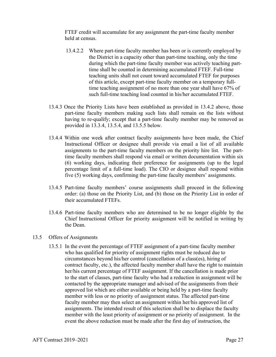FTEF credit will accumulate for any assignment the part-time faculty member held at census.

- 13.4.2.2 Where part-time faculty member has been or is currently employed by the District in a capacity other than part-time teaching, only the time during which the part-time faculty member was actively teaching parttime shall be counted in determining accumulated FTEF. Full-time teaching units shall not count toward accumulated FTEF for purposes of this article, except part-time faculty member on a temporary fulltime teaching assignment of no more than one year shall have 67% of such full-time teaching load counted in his/her accumulated FTEF.
- 13.4.3 Once the Priority Lists have been established as provided in 13.4.2 above, those part-time faculty members making such lists shall remain on the lists without having to re-qualify; except that a part-time faculty member may be removed as provided in 13.3.4, 13.5.4, and 13.5.5 below.
- 13.4.4 Within one week after contract faculty assignments have been made, the Chief Instructional Officer or designee shall provide via email a list of all available assignments to the part-time faculty members on the priority hire list. The parttime faculty members shall respond via email or written documentation within six (6) working days, indicating their preference for assignments (up to the legal percentage limit of a full-time load). The CIO or designee shall respond within five (5) working days, confirming the part-time faculty members' assignments.
- 13.4.5 Part-time faculty members' course assignments shall proceed in the following order: (a) those on the Priority List, and (b) those on the Priority List in order of their accumulated FTEFs.
- 13.4.6 Part-time faculty members who are determined to be no longer eligible by the Chief Instructional Officer for priority assignment will be notified in writing by the Dean.
- 13.5 Offers of Assignments
	- 13.5.1 In the event the percentage of FTEF assignment of a part-time faculty member who has qualified for priority of assignment rights must be reduced due to circumstances beyond his/her control (cancellation of a class(es), hiring of contract faculty, etc.), the affected faculty member shall have the right to maintain her/his current percentage of FTEF assignment. If the cancellation is made prior to the start of classes, part-time faculty who had a reduction in assignment will be contacted by the appropriate manager and advised of the assignments from their approved list which are either available or being held by a part-time faculty member with less or no priority of assignment status. The affected part-time faculty member may then select an assignment within her/his approved list of assignments. The intended result of this selection shall be to displace the faculty member with the least priority of assignment or no priority of assignment. In the event the above reduction must be made after the first day of instruction, the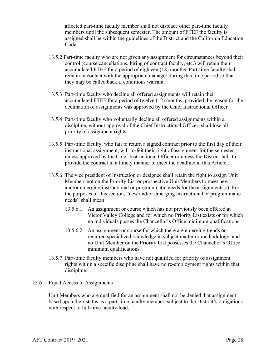affected part-time faculty member shall not displace other part-time faculty members until the subsequent semester. The amount of FTEF the faculty is assigned shall be within the guidelines of the District and the California Education Code.

- 13.5.2 Part-time faculty who are not given any assignment for circumstances beyond their control (course cancellations, hiring of contract faculty, etc.) will retain their accumulated FTEF for a period of eighteen (18) months. Part-time faculty shall remain in contact with the appropriate manager during this time period so that they may be called back if conditions warrant.
- 13.5.3 Part-time faculty who decline all offered assignments will retain their accumulated FTEF for a period of twelve (12) months, provided the reason for the declination of assignments was approved by the Chief Instructional Officer.
- 13.5.4 Part-time faculty who voluntarily decline all offered assignments within a discipline, without approval of the Chief Instructional Officer, shall lose all priority of assignment rights.
- 13.5.5 Part-time faculty, who fail to return a signed contract prior to the first day of their instructional assignment, will forfeit their right of assignment for the semester unless approved by the Chief Instructional Officer or unless the District fails to provide the contract in a timely manner to meet the deadline in this Article..
- 13.5.6 The vice president of Instruction or designee shall retain the right to assign Unit Members not on the Priority List or prospective Unit Members to meet new and/or emerging instructional or programmatic needs for the assignments(s). For the purposes of this section, "new and/or emerging instructional or programmatic needs" shall mean:
	- 13.5.6.1 An assignment or course which has not previously been offered at Victor Valley College and for which no Priority List exists or for which no individuals posses the Chancellor's Office minimum qualifications;
	- 13.5.6.2 An assignment or course for which there are emerging trends or required specialized knowledge in subject matter or methodology, and no Unit Member on the Priority List possesses the Chancellor's Office minimum qualifications.
- 13.5.7 Part-time faculty members who have not qualified for priority of assignment rights within a specific discipline shall have no re-employment rights within that discipline.

#### 13.6 Equal Access to Assignments

Unit Members who are qualified for an assignment shall not be denied that assignment based upon their status as a part-time faculty member, subject to the District's obligations with respect to full-time faculty load.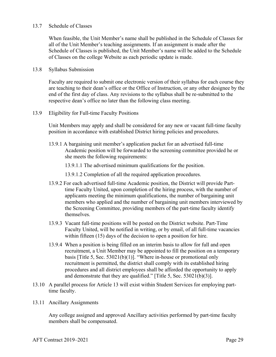#### 13.7 Schedule of Classes

When feasible, the Unit Member's name shall be published in the Schedule of Classes for all of the Unit Member's teaching assignments. If an assignment is made after the Schedule of Classes is published, the Unit Member's name will be added to the Schedule of Classes on the college Website as each periodic update is made.

#### 13.8 Syllabus Submission

Faculty are required to submit one electronic version of their syllabus for each course they are teaching to their dean's office or the Office of Instruction, or any other designee by the end of the first day of class. Any revisions to the syllabus shall be re-submitted to the respective dean's office no later than the following class meeting.

13.9 Eligibility for Full-time Faculty Positions

 Unit Members may apply and shall be considered for any new or vacant full-time faculty position in accordance with established District hiring policies and procedures.

13.9.1 A bargaining unit member's application packet for an advertised full-time Academic position will be forwarded to the screening committee provided he or she meets the following requirements:

13.9.1.1 The advertised minimum qualifications for the position.

13.9.1.2 Completion of all the required application procedures.

- 13.9.2 For each advertised full-time Academic position, the District will provide Parttime Faculty United, upon completion of the hiring process, with the number of applicants meeting the minimum qualifications, the number of bargaining unit members who applied and the number of bargaining unit members interviewed by the Screening Committee, providing members of the part-time faculty identify themselves.
- 13.9.3 Vacant full-time positions will be posted on the District website. Part-Time Faculty United, will be notified in writing, or by email, of all full-time vacancies within fifteen (15) days of the decision to open a position for hire.
- 13.9.4 When a position is being filled on an interim basis to allow for full and open recruitment, a Unit Member may be appointed to fill the position on a temporary basis [Title 5, Sec. 53021(b)(1)]. "Where in-house or promotional only recruitment is permitted, the district shall comply with its established hiring procedures and all district employees shall be afforded the opportunity to apply and demonstrate that they are qualified." [Title 5, Sec. 53021(b)(3)].
- 13.10 A parallel process for Article 13 will exist within Student Services for employing parttime faculty.
- 13.11 Ancillary Assignments

Any college assigned and approved Ancillary activities performed by part-time faculty members shall be compensated.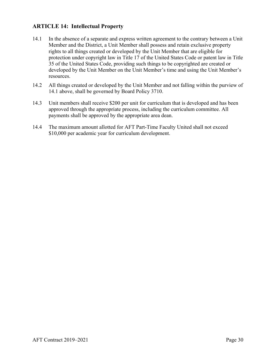#### **ARTICLE 14: Intellectual Property**

- 14.1 In the absence of a separate and express written agreement to the contrary between a Unit Member and the District, a Unit Member shall possess and retain exclusive property rights to all things created or developed by the Unit Member that are eligible for protection under copyright law in Title 17 of the United States Code or patent law in Title 35 of the United States Code, providing such things to be copyrighted are created or developed by the Unit Member on the Unit Member's time and using the Unit Member's resources.
- 14.2 All things created or developed by the Unit Member and not falling within the purview of 14.1 above, shall be governed by Board Policy 3710.
- 14.3 Unit members shall receive \$200 per unit for curriculum that is developed and has been approved through the appropriate process, including the curriculum committee. All payments shall be approved by the appropriate area dean.
- 14.4 The maximum amount allotted for AFT Part-Time Faculty United shall not exceed \$10,000 per academic year for curriculum development.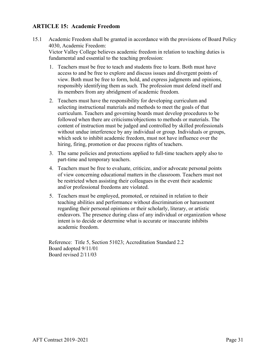#### **ARTICLE 15: Academic Freedom**

- 15.1 Academic Freedom shall be granted in accordance with the provisions of Board Policy 4030, Academic Freedom: Victor Valley College believes academic freedom in relation to teaching duties is fundamental and essential to the teaching profession:
	- 1. Teachers must be free to teach and students free to learn. Both must have access to and be free to explore and discuss issues and divergent points of view. Both must be free to form, hold, and express judgments and opinions, responsibly identifying them as such. The profession must defend itself and its members from any abridgment of academic freedom.
	- 2. Teachers must have the responsibility for developing curriculum and selecting instructional materials and methods to meet the goals of that curriculum. Teachers and governing boards must develop procedures to be followed when there are criticisms/objections to methods or materials. The content of instruction must be judged and controlled by skilled professionals without undue interference by any individual or group. Individuals or groups, which seek to inhibit academic freedom, must not have influence over the hiring, firing, promotion or due process rights of teachers.
	- 3. The same policies and protections applied to full-time teachers apply also to part-time and temporary teachers.
	- 4. Teachers must be free to evaluate, criticize, and/or advocate personal points of view concerning educational matters in the classroom. Teachers must not be restricted when assisting their colleagues in the event their academic and/or professional freedoms are violated.
	- 5. Teachers must be employed, promoted, or retained in relation to their teaching abilities and performance without discrimination or harassment regarding their personal opinions or their scholarly, literary, or artistic endeavors. The presence during class of any individual or organization whose intent is to decide or determine what is accurate or inaccurate inhibits academic freedom.

Reference: Title 5, Section 51023; Accreditation Standard 2.2 Board adopted 9/11/01 Board revised 2/11/03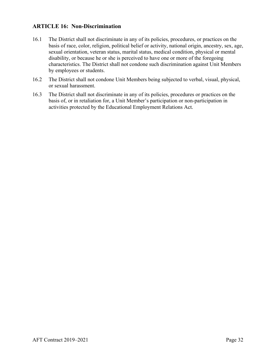#### **ARTICLE 16: Non-Discrimination**

- 16.1 The District shall not discriminate in any of its policies, procedures, or practices on the basis of race, color, religion, political belief or activity, national origin, ancestry, sex, age, sexual orientation, veteran status, marital status, medical condition, physical or mental disability, or because he or she is perceived to have one or more of the foregoing characteristics. The District shall not condone such discrimination against Unit Members by employees or students.
- 16.2 The District shall not condone Unit Members being subjected to verbal, visual, physical, or sexual harassment.
- 16.3 The District shall not discriminate in any of its policies, procedures or practices on the basis of, or in retaliation for, a Unit Member's participation or non-participation in activities protected by the Educational Employment Relations Act.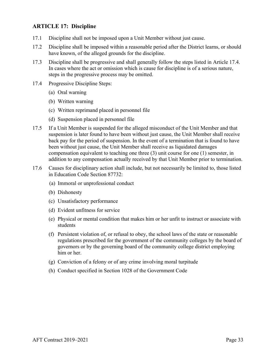#### **ARTICLE 17: Discipline**

- 17.1 Discipline shall not be imposed upon a Unit Member without just cause.
- 17.2 Discipline shall be imposed within a reasonable period after the District learns, or should have known, of the alleged grounds for the discipline.
- 17.3 Discipline shall be progressive and shall generally follow the steps listed in Article 17.4. In cases where the act or omission which is cause for discipline is of a serious nature, steps in the progressive process may be omitted.
- 17.4 Progressive Discipline Steps:
	- (a) Oral warning
	- (b) Written warning
	- (c) Written reprimand placed in personnel file
	- (d) Suspension placed in personnel file
- 17.5 If a Unit Member is suspended for the alleged misconduct of the Unit Member and that suspension is later found to have been without just cause, the Unit Member shall receive back pay for the period of suspension. In the event of a termination that is found to have been without just cause, the Unit Member shall receive as liquidated damages compensation equivalent to teaching one three (3) unit course for one (1) semester, in addition to any compensation actually received by that Unit Member prior to termination.
- 17.6 Causes for disciplinary action shall include, but not necessarily be limited to, those listed in Education Code Section 87732:
	- (a) Immoral or unprofessional conduct
	- (b) Dishonesty
	- (c) Unsatisfactory performance
	- (d) Evident unfitness for service
	- (e) Physical or mental condition that makes him or her unfit to instruct or associate with students
	- (f) Persistent violation of, or refusal to obey, the school laws of the state or reasonable regulations prescribed for the government of the community colleges by the board of governors or by the governing board of the community college district employing him or her.
	- (g) Conviction of a felony or of any crime involving moral turpitude
	- (h) Conduct specified in Section 1028 of the Government Code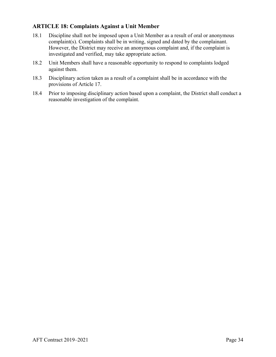#### **ARTICLE 18: Complaints Against a Unit Member**

- 18.1 Discipline shall not be imposed upon a Unit Member as a result of oral or anonymous complaint(s). Complaints shall be in writing, signed and dated by the complainant. However, the District may receive an anonymous complaint and, if the complaint is investigated and verified, may take appropriate action.
- 18.2 Unit Members shall have a reasonable opportunity to respond to complaints lodged against them.
- 18.3 Disciplinary action taken as a result of a complaint shall be in accordance with the provisions of Article 17.
- 18.4 Prior to imposing disciplinary action based upon a complaint, the District shall conduct a reasonable investigation of the complaint.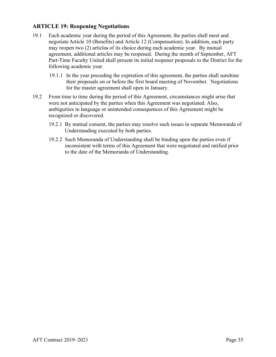#### **ARTICLE 19: Reopening Negotiations**

- 19.1 Each academic year during the period of this Agreement, the parties shall meet and negotiate Article 10 (Benefits) and Article 12 (Compensation). In addition, each party may reopen two (2) articles of its choice during each academic year. By mutual agreement, additional articles may be reopened. During the month of September, AFT Part-Time Faculty United shall present its initial reopener proposals to the District for the following academic year.
	- 19.1.1 In the year preceding the expiration of this agreement, the parties shall sunshine their proposals on or before the first board meeting of November. Negotiations for the master agreement shall open in January.
- 19.2 From time to time during the period of this Agreement, circumstances might arise that were not anticipated by the parties when this Agreement was negotiated. Also, ambiguities in language or unintended consequences of this Agreement might be recognized or discovered.
	- 19.2.1 By mutual consent, the parties may resolve such issues in separate Memoranda of Understanding executed by both parties.
	- 19.2.2 Such Memoranda of Understanding shall be binding upon the parties even if inconsistent with terms of this Agreement that were negotiated and ratified prior to the date of the Memoranda of Understanding.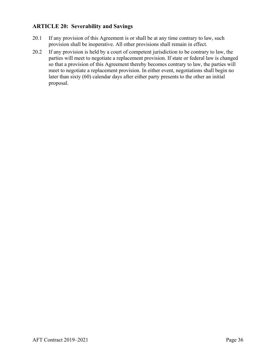#### **ARTICLE 20: Severability and Savings**

- 20.1 If any provision of this Agreement is or shall be at any time contrary to law, such provision shall be inoperative. All other provisions shall remain in effect.
- 20.2 If any provision is held by a court of competent jurisdiction to be contrary to law, the parties will meet to negotiate a replacement provision. If state or federal law is changed so that a provision of this Agreement thereby becomes contrary to law, the parties will meet to negotiate a replacement provision. In either event, negotiations shall begin no later than sixty (60) calendar days after either party presents to the other an initial proposal.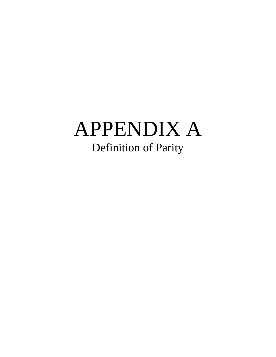# APPENDIX A Definition of Parity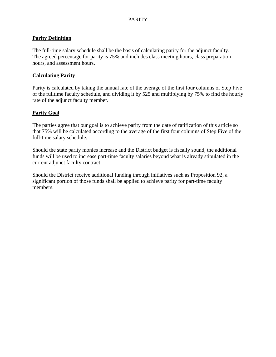#### PARITY

#### **Parity Definition**

The full-time salary schedule shall be the basis of calculating parity for the adjunct faculty. The agreed percentage for parity is 75% and includes class meeting hours, class preparation hours, and assessment hours.

#### **Calculating Parity**

Parity is calculated by taking the annual rate of the average of the first four columns of Step Five of the fulltime faculty schedule, and dividing it by 525 and multiplying by 75% to find the hourly rate of the adjunct faculty member.

#### **Parity Goal**

The parties agree that our goal is to achieve parity from the date of ratification of this article so that 75% will be calculated according to the average of the first four columns of Step Five of the full-time salary schedule.

Should the state parity monies increase and the District budget is fiscally sound, the additional funds will be used to increase part-time faculty salaries beyond what is already stipulated in the current adjunct faculty contract.

Should the District receive additional funding through initiatives such as Proposition 92, a significant portion of those funds shall be applied to achieve parity for part-time faculty members.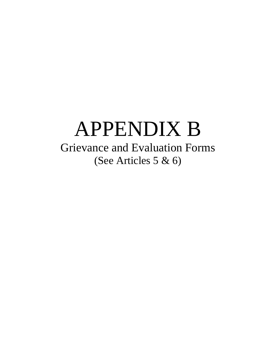## APPENDIX B Grievance and Evaluation Forms (See Articles 5 & 6)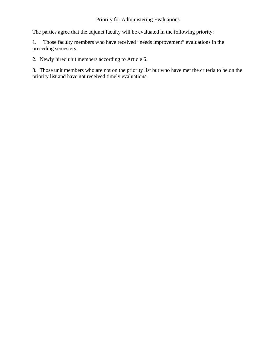#### Priority for Administering Evaluations

The parties agree that the adjunct faculty will be evaluated in the following priority:

1. Those faculty members who have received "needs improvement" evaluations in the preceding semesters.

2. Newly hired unit members according to Article 6.

3. Those unit members who are not on the priority list but who have met the criteria to be on the priority list and have not received timely evaluations.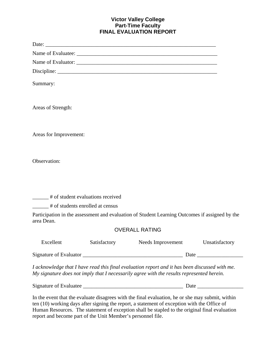#### **Victor Valley College Part-Time Faculty FINAL EVALUATION REPORT**

|                                                                             |              | Discipline: $\sqrt{\frac{1}{2} \sum_{i=1}^{n} (x_i - x_i)^2}$                                                                                                                               |                |  |  |
|-----------------------------------------------------------------------------|--------------|---------------------------------------------------------------------------------------------------------------------------------------------------------------------------------------------|----------------|--|--|
| Summary:                                                                    |              |                                                                                                                                                                                             |                |  |  |
| Areas of Strength:                                                          |              |                                                                                                                                                                                             |                |  |  |
| Areas for Improvement:                                                      |              |                                                                                                                                                                                             |                |  |  |
| Observation:                                                                |              |                                                                                                                                                                                             |                |  |  |
| ______# of student evaluations received<br># of students enrolled at census |              |                                                                                                                                                                                             |                |  |  |
| area Dean.                                                                  |              | Participation in the assessment and evaluation of Student Learning Outcomes if assigned by the                                                                                              |                |  |  |
|                                                                             |              | <b>OVERALL RATING</b>                                                                                                                                                                       |                |  |  |
| Excellent                                                                   | Satisfactory | Needs Improvement                                                                                                                                                                           | Unsatisfactory |  |  |
|                                                                             |              |                                                                                                                                                                                             |                |  |  |
|                                                                             |              | I acknowledge that I have read this final evaluation report and it has been discussed with me.<br>My signature does not imply that I necessarily agree with the results represented herein. |                |  |  |
|                                                                             |              |                                                                                                                                                                                             |                |  |  |

In the event that the evaluate disagrees with the final evaluation, he or she may submit, within ten (10) working days after signing the report, a statement of exception with the Office of Human Resources. The statement of exception shall be stapled to the original final evaluation report and become part of the Unit Member's personnel file.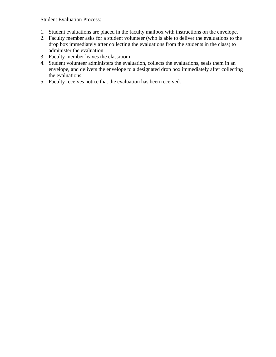Student Evaluation Process:

- 1. Student evaluations are placed in the faculty mailbox with instructions on the envelope.
- 2. Faculty member asks for a student volunteer (who is able to deliver the evaluations to the drop box immediately after collecting the evaluations from the students in the class) to administer the evaluation
- 3. Faculty member leaves the classroom
- 4. Student volunteer administers the evaluation, collects the evaluations, seals them in an envelope, and delivers the envelope to a designated drop box immediately after collecting the evaluations.
- 5. Faculty receives notice that the evaluation has been received.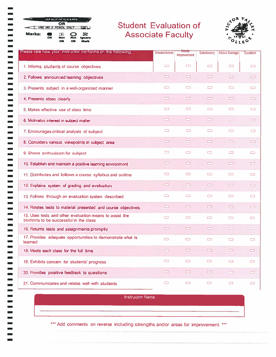|        |    | USE BLUE OR BLACK PEN |               |                            |
|--------|----|-----------------------|---------------|----------------------------|
|        |    | OR<br>NO. 2 PENCIL 1  |               |                            |
| Marks: | OK | Not<br>oк             | D<br>Not<br>œ | x<br>Ignore<br><b>Mark</b> |

<u>por</u>

 $\blacksquare$ 

 $\blacksquare$  $\blacksquare$  $\blacksquare$  $\blacksquare$  $\blacksquare$  $\blacksquare$ 

----------------------

 $\overline{\phantom{0}}$  $\blacksquare$  $\blacksquare$  $\blacksquare$  $\blacksquare$  $\blacksquare$  $\overline{\phantom{0}}$  $\blacksquare$  $\blacksquare$ فتعا  $\blacksquare$  $\blacksquare$ 

 $\Box$  $\overline{\phantom{0}}$  $\blacksquare$ 

 $\overline{\phantom{0}}$ 

 $\sim$ 

### **Student Evaluation of Associate Faculty**



| Please rate how your instructor per orms on the following:                                        | Unsalisfactory | Needs<br>Improvement | Satisfactory | <b>Above Average</b> | <b>Excellent</b>     |
|---------------------------------------------------------------------------------------------------|----------------|----------------------|--------------|----------------------|----------------------|
| 1. Informs students of course objectives                                                          | D              | $\Box$               | تت           | $\Box$               | ▭                    |
| 2. Follows announced learning objectives                                                          | $\Box$         | ▭                    | —            | œ                    | ▭                    |
| 3. Presents subject in a well-organized manner                                                    | $\Box$         | $\Box$               | ▭            | ▭                    | $\Box$               |
| 4. Presents ideas clearly                                                                         | $\blacksquare$ | ▭                    | $\Box$       | ▭                    | ᆷ                    |
| 5. Makes effective use of class time                                                              | $\Box$         | $\Box$               | $\Box$       | $\Box$               | ص                    |
| 6. Motivates interest in subject matter                                                           | $\Box$         | $\Box$               | $\Box$       | EЗ                   | $\qquad \qquad \Box$ |
| 7. Encourages critical analysis of subject                                                        | ▭              | $\Box$               | ▭            | $\Box$               | ▭                    |
| 8. Considers various viewpoints in subject area                                                   | $\Box$         | ᄆ                    | ▭            | Œ                    | ᆷ                    |
| 9. Shows enthusiasm for subject                                                                   | $\Box$         | $\Box$               | $\Box$       | $\Box$               | $\Box$               |
| 10. Establish and maintain a positive learning environment                                        | <u>time</u>    | ᆷ                    | <b>COL</b>   | ▭                    | $\Box$               |
| 11. Distributes and follows a course syllabus and outline                                         | $\Box$         | O                    | ▭            | $\Box$               | $\Box$               |
| 12. Explains system of grading and evaluation                                                     | ▭              | $\Box$               | ▭            | ▭                    | ▭                    |
| 13. Follows through on evaluation system described                                                | ▭              | $\Box$               | ▭            | $\Box$               | صا                   |
| 14. Relates tests to material presented and course objectives                                     | ▭              | $\Box$               | ᆷ            | ▭                    | سا                   |
| 15. Uses tests and other evaluation means to assist the<br>students to be successful in the class | O              | $\Box$               | $\Box$       | $\Box$               | $\Box$               |
| 16. Returns tests and assignments promptly                                                        | $\Box$         | ᆷ                    | œ            | ▭                    | ᆷ                    |
| 17. Provides adequate opportunities to demonstrate what is<br>learned                             | $\Box$         | ▭                    | $\Box$       | ▭                    | $\Box$               |
| 18. Meets each class for the full time                                                            | <u>to a</u>    | 0                    | ▭            | $\equiv$             |                      |
| 19. Exhibits concern for students' progress                                                       | $\Box$         | $\Box$               | ౼            | O                    | ▭                    |
| 20. Provides positive feedback to questions                                                       | ▭              | $\blacksquare$       | ▭            | $\Box$               |                      |
| 21. Communicates and relates well with students                                                   | $\Box$         | O                    | $\Box$       | U                    | $\Box$               |

**Instructor Name** 

\*\*\* Add comments on reverse including strengths and/or areas for improvement. \*\*\*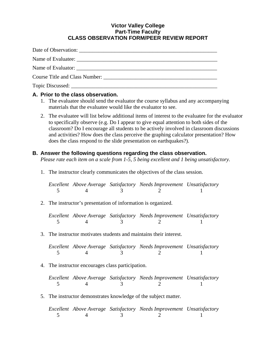#### **Victor Valley College Part-Time Faculty CLASS OBSERVATION FORM/PEER REVIEW REPORT**

Date of Observation: Name of Evaluatee: \_\_\_\_\_\_\_\_\_\_\_\_\_\_\_\_\_\_\_\_\_\_\_\_\_\_\_\_\_\_\_\_\_\_\_\_\_\_\_\_\_\_\_\_\_\_\_\_\_\_\_\_ Name of Evaluator: Course Title and Class Number: \_\_\_\_\_\_\_\_\_\_\_\_\_\_\_\_\_\_\_\_\_\_\_\_\_\_\_\_\_\_\_\_\_\_\_\_\_\_\_\_\_\_ Topic Discussed:

#### **A. Prior to the class observation.**

- 1. The evaluatee should send the evaluator the course syllabus and any accompanying materials that the evaluatee would like the evaluator to see.
- 2. The evaluatee will list below additional items of interest to the evaluatee for the evaluator to specifically observe (e.g. Do I appear to give equal attention to both sides of the classroom? Do I encourage all students to be actively involved in classroom discussions and activities? How does the class perceive the graphing calculator presentation? How does the class respond to the slide presentation on earthquakes?).

#### **B. Answer the following questions regarding the class observation.**

 *Please rate each item on a scale from 1-5, 5 being excellent and 1 being unsatisfactory.* 

1. The instructor clearly communicates the objectives of the class session.

*Excellent Above Average Satisfactory Needs Improvement Unsatisfactory*  5 4 3 2 1

2. The instructor's presentation of information is organized.

*Excellent Above Average Satisfactory Needs Improvement Unsatisfactory*  5 4 3 2 1

3. The instructor motivates students and maintains their interest.

*Excellent Above Average Satisfactory Needs Improvement Unsatisfactory*  5 4 3 2 1

4. The instructor encourages class participation.

*Excellent Above Average Satisfactory Needs Improvement Unsatisfactory*  5 4 3 2 1

5. The instructor demonstrates knowledge of the subject matter.

*Excellent Above Average Satisfactory Needs Improvement Unsatisfactory*  5 4 3 2 1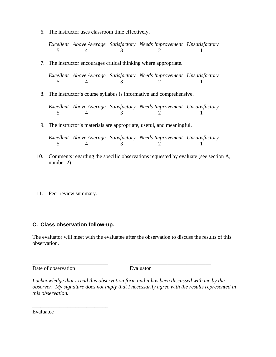6. The instructor uses classroom time effectively.

*Excellent Above Average Satisfactory Needs Improvement Unsatisfactory*  5 4 3 2 1

7. The instructor encourages critical thinking where appropriate.

*Excellent Above Average Satisfactory Needs Improvement Unsatisfactory*  5 4 3 2 1

8. The instructor's course syllabus is informative and comprehensive.

*Excellent Above Average Satisfactory Needs Improvement Unsatisfactory*  5 4 3 2 1

9. The instructor's materials are appropriate, useful, and meaningful.

*Excellent Above Average Satisfactory Needs Improvement Unsatisfactory*  5 4 3 2 1

- 10. Comments regarding the specific observations requested by evaluate (see section A, number 2).
- 11. Peer review summary.

#### **C. Class observation follow-up.**

\_\_\_\_\_\_\_\_\_\_\_\_\_\_\_\_\_\_\_\_\_\_\_\_\_\_\_\_

The evaluator will meet with the evaluatee after the observation to discuss the results of this observation.

\_\_\_\_\_\_\_\_\_\_\_\_\_\_\_\_\_\_\_\_\_\_\_\_\_\_\_\_ \_\_\_\_\_\_\_\_\_\_\_\_\_\_\_\_\_\_\_\_\_\_\_\_\_\_\_\_\_\_

Date of observation Evaluator

*I acknowledge that I read this observation form and it has been discussed with me by the observer. My signature does not imply that I necessarily agree with the results represented in this observation.* 

Evaluatee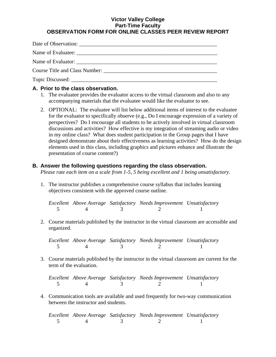#### **Victor Valley College Part-Time Faculty OBSERVATION FORM FOR ONLINE CLASSES PEER REVIEW REPORT**

|                  | Course Title and Class Number: |
|------------------|--------------------------------|
| Topic Discussed: |                                |

#### **A. Prior to the class observation.**

- 1. The evaluatee provides the evaluator access to the virtual classroom and also to any accompanying materials that the evaluatee would like the evaluator to see.
- 2. OPTIONAL: The evaluatee will list below additional items of interest to the evaluatee for the evaluator to specifically observe (e.g., Do I encourage expression of a variety of perspectives? Do I encourage all students to be actively involved in virtual classroom discussions and activities? How effective is my integration of streaming audio or video in my online class? What does student participation in the Group pages that I have designed demonstrate about their effectiveness as learning activities? How do the design elements used in this class, including graphics and pictures enhance and illustrate the presentation of course content?)

#### **B. Answer the following questions regarding the class observation.**

 *Please rate each item on a scale from 1-5, 5 being excellent and 1 being unsatisfactory.* 

1. The instructor publishes a comprehensive course syllabus that includes learning objectives consistent with the approved course outline.

*Excellent Above Average Satisfactory Needs Improvement Unsatisfactory*  5 4 3 2 1

2. Course materials published by the instructor in the virtual classroom are accessible and organized.

*Excellent Above Average Satisfactory Needs Improvement Unsatisfactory*   $\frac{1}{5}$  4  $\frac{3}{3}$  2 1

3. Course materials published by the instructor in the virtual classroom are current for the term of the evaluation.

*Excellent Above Average Satisfactory Needs Improvement Unsatisfactory*  5 4 3 2 1

4. Communication tools are available and used frequently for two-way communication between the instructor and students.

*Excellent Above Average Satisfactory Needs Improvement Unsatisfactory*  5 4 3 2 1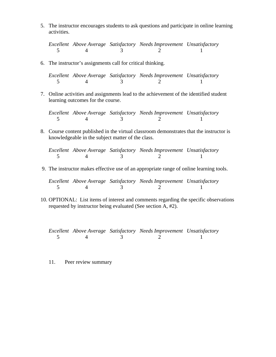5. The instructor encourages students to ask questions and participate in online learning activities.

*Excellent Above Average Satisfactory Needs Improvement Unsatisfactory*  5 4 3 2 1

6. The instructor's assignments call for critical thinking.

*Excellent Above Average Satisfactory Needs Improvement Unsatisfactory*  5 4 3 2 1

 7. Online activities and assignments lead to the achievement of the identified student learning outcomes for the course.

*Excellent Above Average Satisfactory Needs Improvement Unsatisfactory*  5 4 3 2 1

 8. Course content published in the virtual classroom demonstrates that the instructor is knowledgeable in the subject matter of the class.

*Excellent Above Average Satisfactory Needs Improvement Unsatisfactory*  5 4 3 2 1

9. The instructor makes effective use of an appropriate range of online learning tools.

*Excellent Above Average Satisfactory Needs Improvement Unsatisfactory*  5 4 3 2 1

10. OPTIONAL: List items of interest and comments regarding the specific observations requested by instructor being evaluated (See section A, #2).

*Excellent Above Average Satisfactory Needs Improvement Unsatisfactory*  5 4 3 2 1

11. Peer review summary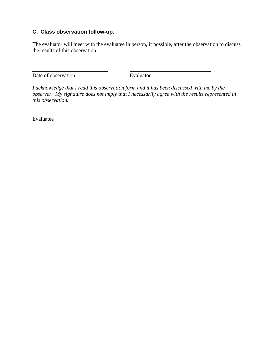#### **C. Class observation follow-up.**

\_\_\_\_\_\_\_\_\_\_\_\_\_\_\_\_\_\_\_\_\_\_\_\_\_\_\_\_

The evaluator will meet with the evaluatee in person, if possible, after the observation to discuss the results of this observation.

Date of observation Evaluator

*I acknowledge that I read this observation form and it has been discussed with me by the observer. My signature does not imply that I necessarily agree with the results represented in this observation.* 

\_\_\_\_\_\_\_\_\_\_\_\_\_\_\_\_\_\_\_\_\_\_\_\_\_\_\_\_ \_\_\_\_\_\_\_\_\_\_\_\_\_\_\_\_\_\_\_\_\_\_\_\_\_\_\_\_\_\_

Evaluatee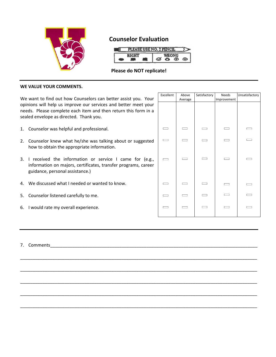

#### **Counselor Evaluation**

| <b>PLEASE USE NO. 2 PENCIL</b> |  |  |  |  |  |  |
|--------------------------------|--|--|--|--|--|--|
|                                |  |  |  |  |  |  |

#### **Please do NOT replicate!**

\_\_\_\_\_\_\_\_\_\_\_\_\_\_\_\_\_\_\_\_\_\_\_\_\_\_\_\_\_\_\_\_\_\_\_\_\_\_\_\_\_\_\_\_\_\_\_\_\_\_\_\_\_\_\_\_\_\_\_\_\_\_\_\_\_\_\_\_\_\_\_\_\_\_\_\_\_\_\_\_\_\_\_\_\_\_\_\_\_\_\_\_\_\_\_\_

\_\_\_\_\_\_\_\_\_\_\_\_\_\_\_\_\_\_\_\_\_\_\_\_\_\_\_\_\_\_\_\_\_\_\_\_\_\_\_\_\_\_\_\_\_\_\_\_\_\_\_\_\_\_\_\_\_\_\_\_\_\_\_\_\_\_\_\_\_\_\_\_\_\_\_\_\_\_\_\_\_\_\_\_\_\_\_\_\_\_\_\_\_\_\_\_

\_\_\_\_\_\_\_\_\_\_\_\_\_\_\_\_\_\_\_\_\_\_\_\_\_\_\_\_\_\_\_\_\_\_\_\_\_\_\_\_\_\_\_\_\_\_\_\_\_\_\_\_\_\_\_\_\_\_\_\_\_\_\_\_\_\_\_\_\_\_\_\_\_\_\_\_\_\_\_\_\_\_\_\_\_\_\_\_\_\_\_\_\_\_\_\_

\_\_\_\_\_\_\_\_\_\_\_\_\_\_\_\_\_\_\_\_\_\_\_\_\_\_\_\_\_\_\_\_\_\_\_\_\_\_\_\_\_\_\_\_\_\_\_\_\_\_\_\_\_\_\_\_\_\_\_\_\_\_\_\_\_\_\_\_\_\_\_\_\_\_\_\_\_\_\_\_\_\_\_\_\_\_\_\_\_\_\_\_\_\_\_\_

\_\_\_\_\_\_\_\_\_\_\_\_\_\_\_\_\_\_\_\_\_\_\_\_\_\_\_\_\_\_\_\_\_\_\_\_\_\_\_\_\_\_\_\_\_\_\_\_\_\_\_\_\_\_\_\_\_\_\_\_\_\_\_\_\_\_\_\_\_\_\_\_\_\_\_\_\_\_\_\_\_\_\_\_\_\_\_\_\_\_\_\_\_\_\_\_

#### **WE VALUE YOUR COMMENTS.**

We want to find out how Counselors can better assist you. Your opinions will help us improve our services and better meet your needs. Please complete each item and then return this form in a sealed envelope as directed. Thank you.

- 1. Counselor was helpful and professional.
- 2. Counselor knew what he/she was talking about or suggested how to obtain the appropriate information.
- 3. I received the information or service I came for (e.g., information on majors, certificates, transfer programs, career guidance, personal assistance.)
- 4. We discussed what I needed or wanted to know.
- 5. Counselor listened carefully to me.
- 6. I would rate my overall experience.

| Excellent | Above<br>Average | Satisfactory | Needs<br>Improvement | Unsatisfactory |
|-----------|------------------|--------------|----------------------|----------------|
|           |                  |              |                      |                |
|           |                  |              |                      |                |
|           |                  |              |                      |                |
|           |                  |              |                      |                |
|           |                  |              |                      |                |
|           |                  |              |                      |                |
|           |                  | $\sim$       |                      |                |
|           |                  |              |                      |                |
|           |                  |              |                      | $\sim$         |
|           |                  |              |                      |                |
|           |                  |              |                      |                |
|           |                  |              |                      |                |

7. Comments\_\_\_\_\_\_\_\_\_\_\_\_\_\_\_\_\_\_\_\_\_\_\_\_\_\_\_\_\_\_\_\_\_\_\_\_\_\_\_\_\_\_\_\_\_\_\_\_\_\_\_\_\_\_\_\_\_\_\_\_\_\_\_\_\_\_\_\_\_\_\_\_\_\_\_\_\_\_\_\_\_\_\_\_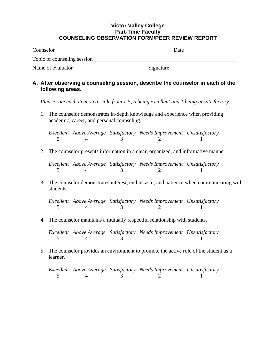#### **Victor Valley College Part-Time Faculty COUNSELING OBSERVATION FORM/PEER REVIEW REPORT**

| Counselor                   |           | Date |
|-----------------------------|-----------|------|
| Topic of counseling session |           |      |
| Name of evaluator           | Signature |      |

#### **A. After observing a counseling session, describe the counselor in each of the following areas.**

 *Please rate each item on a scale from 1-5, 5 being excellent and 1 being unsatisfactory.* 

1. The counselor demonstrates in-depth knowledge and experience when providing academic, career, and personal counseling.

*Excellent Above Average Satisfactory Needs Improvement Unsatisfactory*  5 4 3 2 1

2. The counselor presents information in a clear, organized, and informative manner.

*Excellent Above Average Satisfactory Needs Improvement Unsatisfactory*  5 4 3 2 1

3. The counselor demonstrates interest, enthusiasm, and patience when communicating with students.

*Excellent Above Average Satisfactory Needs Improvement Unsatisfactory*  5 4 3 2 1

4. The counselor maintains a mutually respectful relationship with students.

*Excellent Above Average Satisfactory Needs Improvement Unsatisfactory*  5 4 3 2 1

5. The counselor provides an environment to promote the active role of the student as a learner.

*Excellent Above Average Satisfactory Needs Improvement Unsatisfactory*  5 4 3 2 1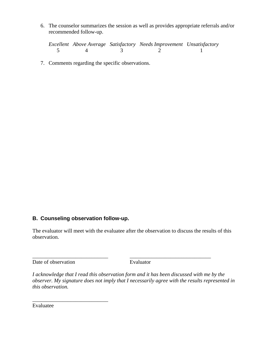6. The counselor summarizes the session as well as provides appropriate referrals and/or recommended follow-up.

*Excellent Above Average Satisfactory Needs Improvement Unsatisfactory*  5 4 3 2 1

7. Comments regarding the specific observations.

#### **B. Counseling observation follow-up.**

The evaluator will meet with the evaluatee after the observation to discuss the results of this observation.

\_\_\_\_\_\_\_\_\_\_\_\_\_\_\_\_\_\_\_\_\_\_\_\_\_\_\_\_ \_\_\_\_\_\_\_\_\_\_\_\_\_\_\_\_\_\_\_\_\_\_\_\_\_\_\_\_\_\_

Date of observation Evaluator

\_\_\_\_\_\_\_\_\_\_\_\_\_\_\_\_\_\_\_\_\_\_\_\_\_\_\_\_

*I acknowledge that I read this observation form and it has been discussed with me by the observer. My signature does not imply that I necessarily agree with the results represented in this observation.* 

Evaluatee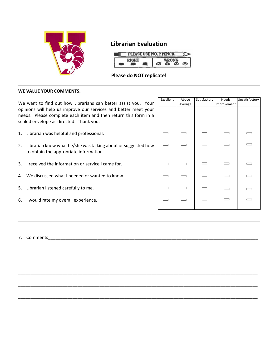

#### **Librarian Evaluation**



#### **Please do NOT replicate!**

\_\_\_\_\_\_\_\_\_\_\_\_\_\_\_\_\_\_\_\_\_\_\_\_\_\_\_\_\_\_\_\_\_\_\_\_\_\_\_\_\_\_\_\_\_\_\_\_\_\_\_\_\_\_\_\_\_\_\_\_\_\_\_\_\_\_\_\_\_\_\_\_\_\_\_\_\_\_\_\_\_\_\_\_\_\_\_\_\_\_\_\_\_\_\_\_\_

\_\_\_\_\_\_\_\_\_\_\_\_\_\_\_\_\_\_\_\_\_\_\_\_\_\_\_\_\_\_\_\_\_\_\_\_\_\_\_\_\_\_\_\_\_\_\_\_\_\_\_\_\_\_\_\_\_\_\_\_\_\_\_\_\_\_\_\_\_\_\_\_\_\_\_\_\_\_\_\_\_\_\_\_\_\_\_\_\_\_\_\_\_\_\_\_\_

\_\_\_\_\_\_\_\_\_\_\_\_\_\_\_\_\_\_\_\_\_\_\_\_\_\_\_\_\_\_\_\_\_\_\_\_\_\_\_\_\_\_\_\_\_\_\_\_\_\_\_\_\_\_\_\_\_\_\_\_\_\_\_\_\_\_\_\_\_\_\_\_\_\_\_\_\_\_\_\_\_\_\_\_\_\_\_\_\_\_\_\_\_\_\_\_\_

\_\_\_\_\_\_\_\_\_\_\_\_\_\_\_\_\_\_\_\_\_\_\_\_\_\_\_\_\_\_\_\_\_\_\_\_\_\_\_\_\_\_\_\_\_\_\_\_\_\_\_\_\_\_\_\_\_\_\_\_\_\_\_\_\_\_\_\_\_\_\_\_\_\_\_\_\_\_\_\_\_\_\_\_\_\_\_\_\_\_\_\_\_\_\_\_\_

\_\_\_\_\_\_\_\_\_\_\_\_\_\_\_\_\_\_\_\_\_\_\_\_\_\_\_\_\_\_\_\_\_\_\_\_\_\_\_\_\_\_\_\_\_\_\_\_\_\_\_\_\_\_\_\_\_\_\_\_\_\_\_\_\_\_\_\_\_\_\_\_\_\_\_\_\_\_\_\_\_\_\_\_\_\_\_\_\_\_\_\_\_\_\_\_\_

#### **WE VALUE YOUR COMMENTS.**

We want to find out how Librarians can better assist you. Your opinions will help us improve our services and better meet your needs. Please complete each item and then return this form in a sealed envelope as directed. Thank you.

1. Librarian was helpful and professional.

- 2. Librarian knew what he/she was talking about or suggested how to obtain the appropriate information.
- 3. I received the information or service I came for.
- 4. We discussed what I needed or wanted to know.
- 5. Librarian listened carefully to me.
- 6. I would rate my overall experience.

| Excellent | Above<br>Average | Satisfactory | Needs<br>Improvement | Unsatisfactory |
|-----------|------------------|--------------|----------------------|----------------|
|           |                  |              |                      |                |
|           |                  |              |                      |                |
|           |                  |              |                      |                |
|           |                  |              |                      |                |
|           |                  |              |                      |                |
|           |                  |              |                      |                |
|           |                  |              |                      |                |
|           |                  |              |                      |                |
|           |                  |              |                      |                |
|           |                  |              |                      |                |
|           |                  |              |                      |                |

7. Comments\_\_\_\_\_\_\_\_\_\_\_\_\_\_\_\_\_\_\_\_\_\_\_\_\_\_\_\_\_\_\_\_\_\_\_\_\_\_\_\_\_\_\_\_\_\_\_\_\_\_\_\_\_\_\_\_\_\_\_\_\_\_\_\_\_\_\_\_\_\_\_\_\_\_\_\_\_\_\_\_\_\_\_\_\_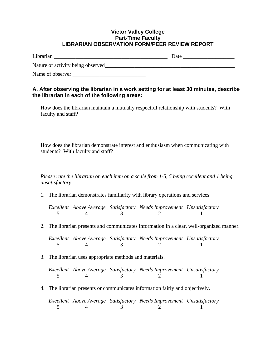#### **Victor Valley College Part-Time Faculty LIBRARIAN OBSERVATION FORM/PEER REVIEW REPORT**

| Librarian                         | Date |
|-----------------------------------|------|
| Nature of activity being observed |      |
| Name of observer                  |      |

#### **A. After observing the librarian in a work setting for at least 30 minutes, describe the librarian in each of the following areas:**

How does the librarian maintain a mutually respectful relationship with students? With faculty and staff?

How does the librarian demonstrate interest and enthusiasm when communicating with students? With faculty and staff?

*Please rate the librarian on each item on a scale from 1-5, 5 being excellent and 1 being unsatisfactory.* 

1. The librarian demonstrates familiarity with library operations and services.

*Excellent Above Average Satisfactory Needs Improvement Unsatisfactory*  5 4 3 2 1

2. The librarian presents and communicates information in a clear, well-organized manner.

*Excellent Above Average Satisfactory Needs Improvement Unsatisfactory*  5 4 3 2 1

3. The librarian uses appropriate methods and materials.

*Excellent Above Average Satisfactory Needs Improvement Unsatisfactory*  5 4 3 2 1

4. The librarian presents or communicates information fairly and objectively.

*Excellent Above Average Satisfactory Needs Improvement Unsatisfactory*  5 4 3 2 1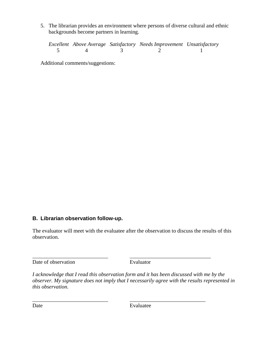5. The librarian provides an environment where persons of diverse cultural and ethnic backgrounds become partners in learning.

*Excellent Above Average Satisfactory Needs Improvement Unsatisfactory*  5 4 3 2 1

Additional comments/suggestions:

#### **B. Librarian observation follow-up.**

The evaluator will meet with the evaluatee after the observation to discuss the results of this observation.

\_\_\_\_\_\_\_\_\_\_\_\_\_\_\_\_\_\_\_\_\_\_\_\_\_\_\_\_ \_\_\_\_\_\_\_\_\_\_\_\_\_\_\_\_\_\_\_\_\_\_\_\_\_\_\_\_\_\_

\_\_\_\_\_\_\_\_\_\_\_\_\_\_\_\_\_\_\_\_\_\_\_\_\_\_\_\_ \_\_\_\_\_\_\_\_\_\_\_\_\_\_\_\_\_\_\_\_\_\_\_\_\_\_\_\_

Date of observation Evaluator

*I acknowledge that I read this observation form and it has been discussed with me by the observer. My signature does not imply that I necessarily agree with the results represented in this observation.* 

Date Evaluatee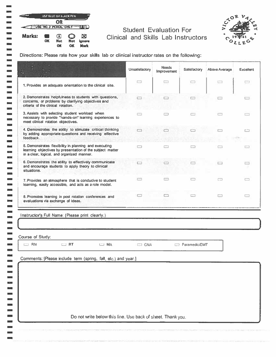|        |    | USF BLUE OR BLACK PEN                       |                  |                            |
|--------|----|---------------------------------------------|------------------|----------------------------|
|        |    | OR<br><b>COUSE NO. 2 PENCIL ONLY   ILID</b> |                  |                            |
| Marks: | OК | $\lceil \bullet \rceil$<br><b>Not</b><br>OK | <b>Not</b><br>OК | ⊠<br><b>Ignore</b><br>Mark |

-------------

 $\mathcal{L}_{\mathcal{A}}$  $\blacksquare$  $\overline{\mathbb{Z}}$  .  $\overline{\phantom{a}}$ **SEC**  $\overline{\phantom{a}}$  $\sim$ 

**Lock** m.  $\mathcal{L}$  $\mathbf{r}$ **Section**  $\blacksquare$  $\sim$   $\epsilon$  $\overline{\phantom{a}}$  $\overline{\phantom{0}}$  $\frac{1}{2}$  $\overline{\phantom{a}}$  $\frac{1}{2}$  $\overline{\phantom{a}}$ й.  $\blacksquare$ z.  $\overline{\phantom{0}}$  $\mathcal{L}_{\mathcal{A}}$  $\sim$  $\overline{\mathcal{C}}$ шń,  $\qquad \qquad$  $\blacksquare$ نس  $\blacksquare$  $\mathbf{r}$ the project  $\overline{\phantom{a}}$  $\blacksquare$  $\overline{\phantom{a}}$  $\begin{array}{c} \hline \end{array}$  $\blacksquare$ 

 $\blacksquare$  $\blacksquare$ 

#### **Student Evaluation For** Clinical and Skills Lab Instructors



Directions: Please rate how your skills lab or clinical instructor rates on the following:

|                                                                                                                                                                  | Unsatisfactory | <b>Needs</b><br>Improvement | Satisfactory  | Above Average | <b>Excellent</b> |
|------------------------------------------------------------------------------------------------------------------------------------------------------------------|----------------|-----------------------------|---------------|---------------|------------------|
| 1. Provides an adequate orientation to the clinical site.                                                                                                        | ▭              | □                           | □             |               | сэ               |
| 2. Demonstrates helpfulness to students with questions,<br>concerns, or problems by clarifying objectives and<br>criteria of the clinical rotation.              | ▭              | ▭                           | $\Box$        |               |                  |
| 3. Assists wtih selecting student workload when<br>necessary to provide "hands-on" learning experiences to<br>meet clinical rotation objectives.                 |                |                             |               |               | œ                |
| 4. Demonstrates the ability to stimulate critical thinking<br>by adding appropriate questions and receiving effective<br>feedback.                               |                |                             |               |               | 亡                |
| 5. Demonstrates flexibility in planning and executing<br>learning objectives by presentation of the subject matter<br>in a clear, logical, and organized manner. |                | m                           |               |               |                  |
| 6. Demonstrates the ability to effectively communicate<br>and encourage students to apply theory to clinical<br>situations.                                      |                |                             |               |               |                  |
| 7. Provides an atmosphere that is conducive to student<br>learning, easily accessible, and acts as a role model.                                                 |                |                             |               | œ             | c                |
| 8. Promotes learning in post rotation conferences and<br>evaluations via exchange of ideas.                                                                      | ▭              |                             | m             |               | ▭                |
| Instructor's Full Name: (Please print clearly.)<br>Course of Study:                                                                                              |                |                             |               |               |                  |
| $\Box$ RN<br>$\Box$ RT<br>$\Box$ MA                                                                                                                              | $\Box$ CNA     |                             | Paramedic/EMT |               |                  |
| Comments: [Please include term (spring, fall, etc.) and year.]                                                                                                   |                |                             |               |               |                  |
|                                                                                                                                                                  |                |                             |               |               |                  |
|                                                                                                                                                                  |                |                             |               |               |                  |
|                                                                                                                                                                  |                |                             |               |               |                  |
| Do not write below this line. Use back of sheet. Thank you.                                                                                                      |                |                             |               |               |                  |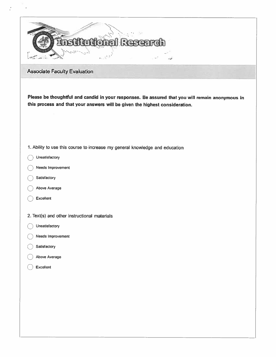

**Associate Faculty Evaluation** 

Please be thoughtful and candid in your responses. Be assured that you will remain anonymous in this process and that your answers will be given the highest consideration.

- 1. Ability to use this course to increase my general knowledge and education
- Unsatisfactory
- Needs Improvement
- Satisfactory
- Above Average
- Excellent
- 2. Text(s) and other instructional materials
- Unsatisfactory
- Needs Improvement
- Satisfactory
- Above Average
- Excellent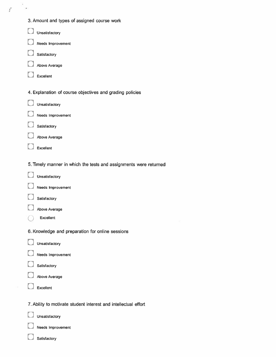| 3. Amount and types of assigned course work                       |
|-------------------------------------------------------------------|
| Unsatisfactory                                                    |
| Needs Improvement                                                 |
| Satisfactory                                                      |
| Above Average                                                     |
| Excellent                                                         |
| 4. Explanation of course objectives and grading policies          |
| Unsatisfactory                                                    |
| Needs Improvement                                                 |
| Satisfactory                                                      |
| <b>Above Average</b>                                              |
| Excellent                                                         |
| 5. Timely manner in which the tests and assignments were returned |

Unsatisfactory

 $\boldsymbol{f}^*$ 

|  | Needs Improvement |
|--|-------------------|

- Satisfactory
- Above Average
- Excellent

6. Knowledge and preparation for online sessions

- Unsatisfactory
- Needs Improvement
- Satisfactory
- Above Average
- Excellent
- 7. Ability to motivate student interest and intellectual effort
	- Unsatisfactory

I.

- Needs Improvement
	- Satisfactory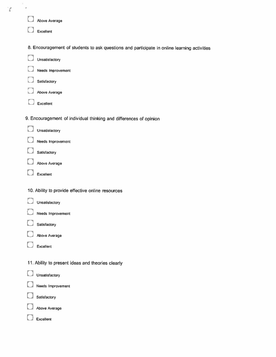| Y<br>p. |                                                                                             |
|---------|---------------------------------------------------------------------------------------------|
|         | Above Average                                                                               |
|         | Excellent                                                                                   |
|         | 8. Encouragement of students to ask questions and participate in online learning activities |
|         | Unsatisfactory                                                                              |
|         | Needs Improvement                                                                           |
|         | Satisfactory                                                                                |
|         | Above Average                                                                               |
|         | Excellent                                                                                   |
|         | 9. Encouragement of individual thinking and differences of opinion                          |
|         | Unsatisfactory                                                                              |
|         | Needs Improvement                                                                           |
|         | Satisfactory                                                                                |
|         | Above Average                                                                               |
|         | Excellent                                                                                   |
|         | 10. Ability to provide effective online resources                                           |
|         | Unsatisfactory                                                                              |
|         | Needs Improvement                                                                           |
|         | Satisfactory                                                                                |
|         | Above Average                                                                               |
|         | Excellent                                                                                   |
|         | 11. Ability to present ideas and theories clearly                                           |
|         | Unsatisfactory                                                                              |
|         | Needs Improvement                                                                           |
|         | Satisfactory                                                                                |
|         | Above Average                                                                               |
|         | Excellent                                                                                   |
|         |                                                                                             |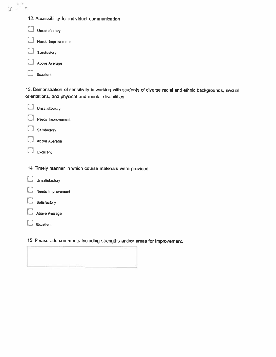|  |  |  | 12. Accessibility for individual communication |
|--|--|--|------------------------------------------------|
|--|--|--|------------------------------------------------|

| Unsatisfactory           |
|--------------------------|
| <b>Needs Improvement</b> |
| Satisfactory             |
| <b>Above Average</b>     |
| Excellent                |

 $\gamma^{-1/2}$  .

13. Demonstration of sensitivity in working with students of diverse racial and ethnic backgrounds, sexual orientations, and physical and mental disabilities

| Unsatisfactory                                            |
|-----------------------------------------------------------|
| Needs Improvement                                         |
| Satisfactory                                              |
| Above Average                                             |
| Excellent                                                 |
|                                                           |
| 14. Timely manner in which course materials were provided |
| Unsatisfactory                                            |
| Needs Improvement                                         |
| Satisfactory                                              |
| Above Average                                             |
| Excellent                                                 |
|                                                           |

15. Please add comments including strengths and/or areas for improvement.

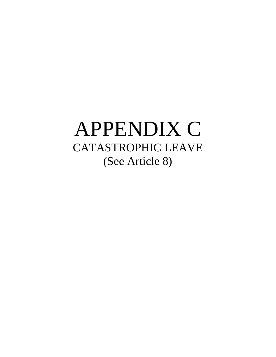## APPENDIX C CATASTROPHIC LEAVE (See Article 8)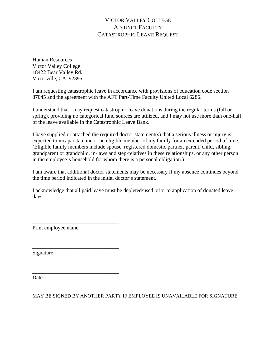#### VICTOR VALLEY COLLEGE ADJUNCT FACULTY CATASTROPHIC LEAVE REQUEST

Human Resources Victor Valley College 18422 Bear Valley Rd. Victorville, CA 92395

I am requesting catastrophic leave in accordance with provisions of education code section 87045 and the agreement with the AFT Part-Time Faculty United Local 6286.

I understand that I may request catastrophic leave donations during the regular terms (fall or spring), providing no categorical fund sources are utilized, and I may not use more than one-half of the leave available in the Catastrophic Leave Bank.

I have supplied or attached the required doctor statement(s) that a serious illness or injury is expected to incapacitate me or an eligible member of my family for an extended period of time. (Eligible family members include spouse, registered domestic partner, parent, child, sibling, grandparent or grandchild, in-laws and step-relatives in these relationships, or any other person in the employee's household for whom there is a personal obligation.)

I am aware that additional doctor statements may be necessary if my absence continues beyond the time period indicated in the initial doctor's statement.

I acknowledge that all paid leave must be depleted/used prior to application of donated leave days.

Print employee name

\_\_\_\_\_\_\_\_\_\_\_\_\_\_\_\_\_\_\_\_\_\_\_\_\_\_\_\_\_\_\_\_

\_\_\_\_\_\_\_\_\_\_\_\_\_\_\_\_\_\_\_\_\_\_\_\_\_\_\_\_\_\_\_\_

\_\_\_\_\_\_\_\_\_\_\_\_\_\_\_\_\_\_\_\_\_\_\_\_\_\_\_\_\_\_\_\_

Signature

Date

MAY BE SIGNED BY ANOTHER PARTY IF EMPLOYEE IS UNAVAILABLE FOR SIGNATURE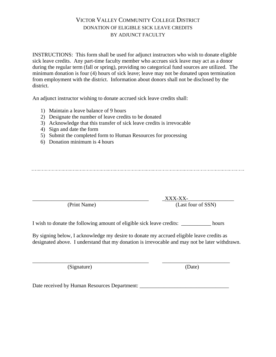#### VICTOR VALLEY COMMUNITY COLLEGE DISTRICT DONATION OF ELIGIBLE SICK LEAVE CREDITS BY ADJUNCT FACULTY

INSTRUCTIONS: This form shall be used for adjunct instructors who wish to donate eligible sick leave credits. Any part-time faculty member who accrues sick leave may act as a donor during the regular term (fall or spring), providing no categorical fund sources are utilized. The minimum donation is four (4) hours of sick leave; leave may not be donated upon termination from employment with the district. Information about donors shall not be disclosed by the district.

An adjunct instructor wishing to donate accrued sick leave credits shall:

- 1) Maintain a leave balance of 9 hours
- 2) Designate the number of leave credits to be donated
- 3) Acknowledge that this transfer of sick leave credits is irrevocable
- 4) Sign and date the form
- 5) Submit the completed form to Human Resources for processing
- 6) Donation minimum is 4 hours

 $\_$  XXX-XX-(Print Name) (Last four of SSN)

I wish to donate the following amount of eligible sick leave credits: hours

By signing below, I acknowledge my desire to donate my accrued eligible leave credits as designated above. I understand that my donation is irrevocable and may not be later withdrawn.

\_\_\_\_\_\_\_\_\_\_\_\_\_\_\_\_\_\_\_\_\_\_\_\_\_\_\_\_\_\_\_\_\_\_\_\_\_\_\_\_\_\_\_ \_\_\_\_\_\_\_\_\_\_\_\_\_\_\_\_\_\_\_\_\_\_\_\_\_

(Signature) (Date)

Date received by Human Resources Department: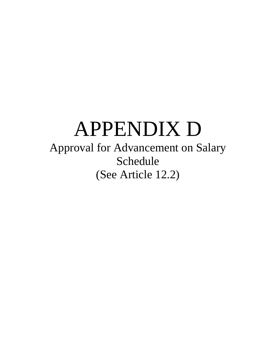# APPENDIX D

Approval for Advancement on Salary Schedule (See Article 12.2)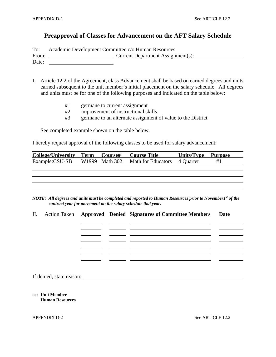#### **Preapproval of Classes for Advancement on the AFT Salary Schedule**

To: Academic Development Committee c/o Human Resources

From: <u>Current Department Assignment(s):</u>

Date:

I. Article 12.2 of the Agreement, class Advancement shall be based on earned degrees and units earned subsequent to the unit member's initial placement on the salary schedule. All degrees and units must be for one of the following purposes and indicated on the table below:

- #1 germane to current assignment
- #2 improvement of instructional skills
- #3 germane to an alternate assignment of value to the District

See completed example shown on the table below.

I hereby request approval of the following classes to be used for salary advancement:

| College/University Term Course# |  | <b>Course Title</b>                                        | <b>Units/Type Purpose</b> |    |
|---------------------------------|--|------------------------------------------------------------|---------------------------|----|
|                                 |  | Example:CSU-SB W1999 Math 302 Math for Educators 4 Quarter |                           | #1 |
|                                 |  |                                                            |                           |    |
|                                 |  |                                                            |                           |    |
|                                 |  |                                                            |                           |    |
|                                 |  |                                                            |                           |    |
|                                 |  |                                                            |                           |    |

*NOTE: All degrees and units must be completed and reported to Human Resources prior to November1st of the contract year for movement on the salary schedule that year.* 

|  |  | II. Action Taken Approved Denied Signatures of Committee Members Date |  |
|--|--|-----------------------------------------------------------------------|--|
|  |  |                                                                       |  |
|  |  |                                                                       |  |
|  |  |                                                                       |  |
|  |  |                                                                       |  |
|  |  |                                                                       |  |
|  |  |                                                                       |  |

If denied, state reason:

**cc: Unit Member Human Resources** 

APPENDIX D-2 See ARTICLE 12.2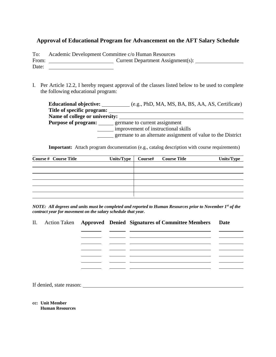#### **Approval of Educational Program for Advancement on the AFT Salary Schedule**

| To:   | Academic Development Committee c/o Human Resources |                                   |  |
|-------|----------------------------------------------------|-----------------------------------|--|
| From: |                                                    | Current Department Assignment(s): |  |
| Date: |                                                    |                                   |  |

I. Per Article 12.2, I hereby request approval of the classes listed below to be used to complete the following educational program:

**Educational objective:** (e.g., PhD, MA, MS, BA, BS, AA, AS, Certificate) **Title of specific program: Name of college or university: Purpose of program:** germane to current assignment improvement of instructional skills germane to an alternate assignment of value to the District

**Important:** Attach program documentation (e.g., catalog description with course requirements)

| <b>Course # Course Title</b> | Units/Type | <b>Course#</b> Course Title | Units/Type |
|------------------------------|------------|-----------------------------|------------|
|                              |            |                             |            |
|                              |            |                             |            |
|                              |            |                             |            |
|                              |            |                             |            |
|                              |            |                             |            |

*NOTE: All degrees and units must be completed and reported to Human Resources prior to November 1st of the contract year for movement on the salary schedule that year.* 

|  |  | II. Action Taken Approved Denied Signatures of Committee Members Date |  |
|--|--|-----------------------------------------------------------------------|--|
|  |  |                                                                       |  |
|  |  |                                                                       |  |
|  |  |                                                                       |  |
|  |  |                                                                       |  |
|  |  |                                                                       |  |
|  |  |                                                                       |  |

If denied, state reason:

**cc: Unit Member Human Resources**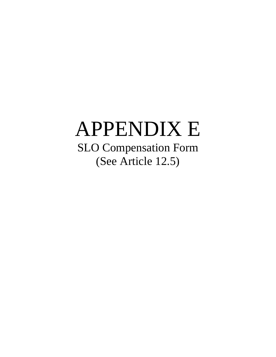# APPENDIX E SLO Compensation Form (See Article 12.5)